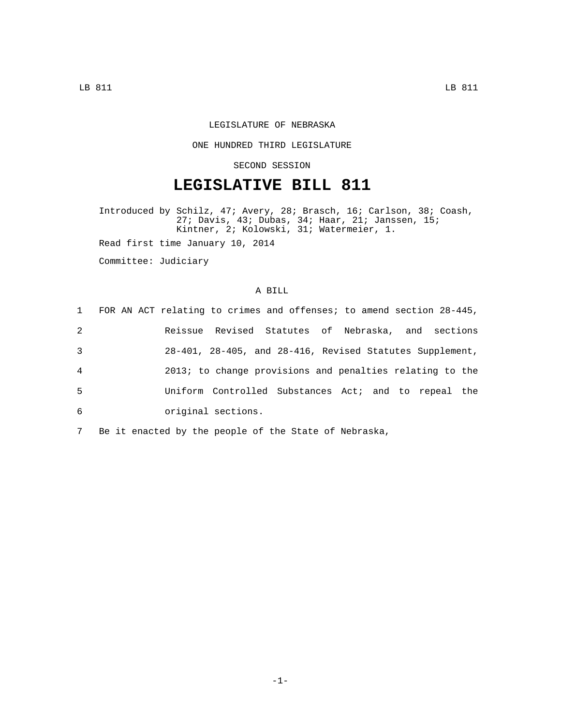## LEGISLATURE OF NEBRASKA

### ONE HUNDRED THIRD LEGISLATURE

## SECOND SESSION

# **LEGISLATIVE BILL 811**

Introduced by Schilz, 47; Avery, 28; Brasch, 16; Carlson, 38; Coash, 27; Davis, 43; Dubas, 34; Haar, 21; Janssen, 15; Kintner, 2; Kolowski, 31; Watermeier, 1. Read first time January 10, 2014

Committee: Judiciary

### A BILL

|   | 1 FOR AN ACT relating to crimes and offenses; to amend section 28-445, |
|---|------------------------------------------------------------------------|
| 2 | Reissue Revised Statutes of Nebraska, and sections                     |
| 3 | 28-401, 28-405, and 28-416, Revised Statutes Supplement,               |
| 4 | 2013; to change provisions and penalties relating to the               |
| 5 | Uniform Controlled Substances Act; and to repeal the                   |
| 6 | original sections.                                                     |

7 Be it enacted by the people of the State of Nebraska,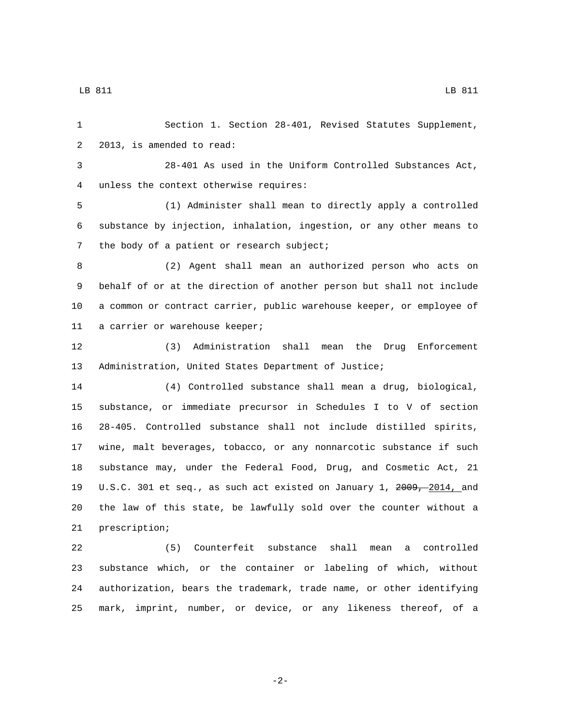Section 1. Section 28-401, Revised Statutes Supplement, 2 2013, is amended to read: 28-401 As used in the Uniform Controlled Substances Act, 4 unless the context otherwise requires: (1) Administer shall mean to directly apply a controlled substance by injection, inhalation, ingestion, or any other means to 7 the body of a patient or research subject; (2) Agent shall mean an authorized person who acts on behalf of or at the direction of another person but shall not include a common or contract carrier, public warehouse keeper, or employee of 11 a carrier or warehouse keeper; (3) Administration shall mean the Drug Enforcement Administration, United States Department of Justice; (4) Controlled substance shall mean a drug, biological, substance, or immediate precursor in Schedules I to V of section 28-405. Controlled substance shall not include distilled spirits, wine, malt beverages, tobacco, or any nonnarcotic substance if such substance may, under the Federal Food, Drug, and Cosmetic Act, 21 19 U.S.C. 301 et seq., as such act existed on January 1, 2009, 2014, and the law of this state, be lawfully sold over the counter without a 21 prescription; (5) Counterfeit substance shall mean a controlled substance which, or the container or labeling of which, without authorization, bears the trademark, trade name, or other identifying

LB 811 LB 811

-2-

mark, imprint, number, or device, or any likeness thereof, of a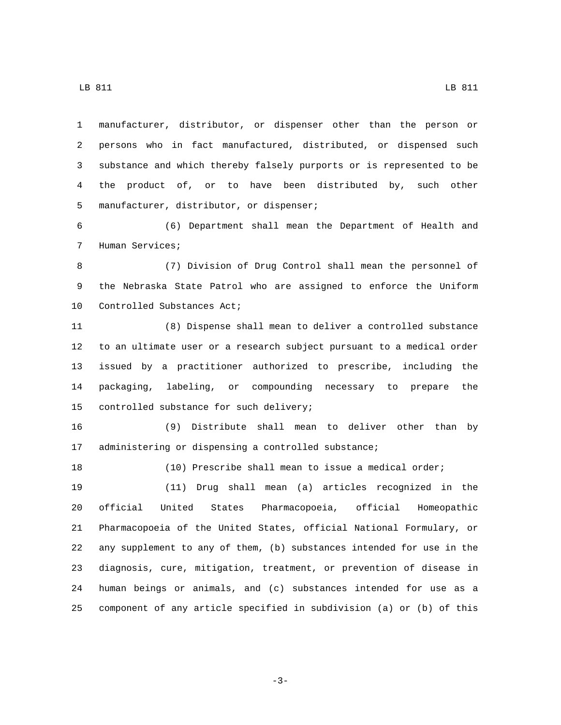LB 811 LB 811

 manufacturer, distributor, or dispenser other than the person or persons who in fact manufactured, distributed, or dispensed such substance and which thereby falsely purports or is represented to be the product of, or to have been distributed by, such other 5 manufacturer, distributor, or dispenser;

 (6) Department shall mean the Department of Health and 7 Human Services;

 (7) Division of Drug Control shall mean the personnel of the Nebraska State Patrol who are assigned to enforce the Uniform 10 Controlled Substances Act;

 (8) Dispense shall mean to deliver a controlled substance to an ultimate user or a research subject pursuant to a medical order issued by a practitioner authorized to prescribe, including the packaging, labeling, or compounding necessary to prepare the 15 controlled substance for such delivery;

 (9) Distribute shall mean to deliver other than by administering or dispensing a controlled substance;

 (10) Prescribe shall mean to issue a medical order; (11) Drug shall mean (a) articles recognized in the official United States Pharmacopoeia, official Homeopathic Pharmacopoeia of the United States, official National Formulary, or any supplement to any of them, (b) substances intended for use in the diagnosis, cure, mitigation, treatment, or prevention of disease in human beings or animals, and (c) substances intended for use as a component of any article specified in subdivision (a) or (b) of this

-3-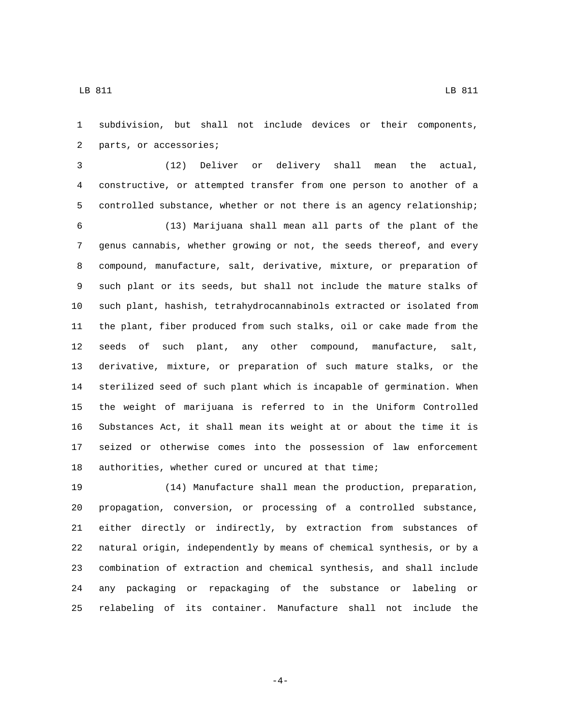subdivision, but shall not include devices or their components, 2 parts, or accessories;

 (12) Deliver or delivery shall mean the actual, constructive, or attempted transfer from one person to another of a controlled substance, whether or not there is an agency relationship;

 (13) Marijuana shall mean all parts of the plant of the genus cannabis, whether growing or not, the seeds thereof, and every compound, manufacture, salt, derivative, mixture, or preparation of such plant or its seeds, but shall not include the mature stalks of such plant, hashish, tetrahydrocannabinols extracted or isolated from the plant, fiber produced from such stalks, oil or cake made from the seeds of such plant, any other compound, manufacture, salt, derivative, mixture, or preparation of such mature stalks, or the sterilized seed of such plant which is incapable of germination. When the weight of marijuana is referred to in the Uniform Controlled Substances Act, it shall mean its weight at or about the time it is seized or otherwise comes into the possession of law enforcement authorities, whether cured or uncured at that time;

 (14) Manufacture shall mean the production, preparation, propagation, conversion, or processing of a controlled substance, either directly or indirectly, by extraction from substances of natural origin, independently by means of chemical synthesis, or by a combination of extraction and chemical synthesis, and shall include any packaging or repackaging of the substance or labeling or relabeling of its container. Manufacture shall not include the

-4-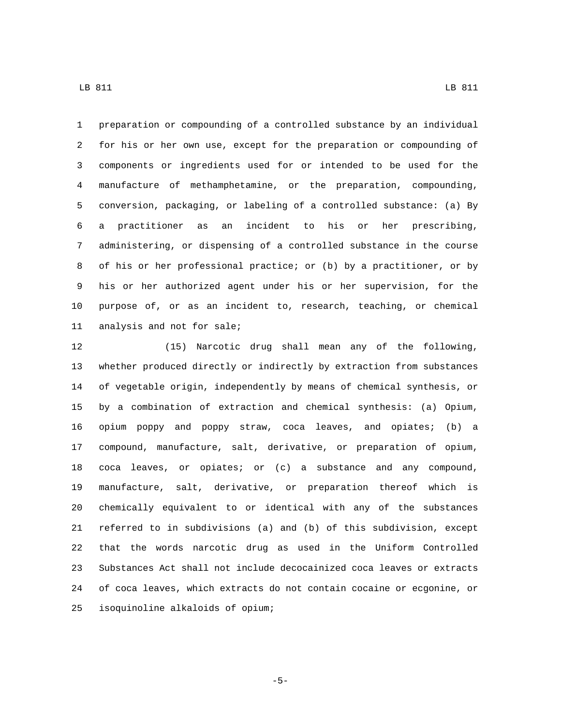preparation or compounding of a controlled substance by an individual for his or her own use, except for the preparation or compounding of components or ingredients used for or intended to be used for the manufacture of methamphetamine, or the preparation, compounding, conversion, packaging, or labeling of a controlled substance: (a) By a practitioner as an incident to his or her prescribing, administering, or dispensing of a controlled substance in the course of his or her professional practice; or (b) by a practitioner, or by his or her authorized agent under his or her supervision, for the purpose of, or as an incident to, research, teaching, or chemical 11 analysis and not for sale;

 (15) Narcotic drug shall mean any of the following, whether produced directly or indirectly by extraction from substances of vegetable origin, independently by means of chemical synthesis, or by a combination of extraction and chemical synthesis: (a) Opium, opium poppy and poppy straw, coca leaves, and opiates; (b) a compound, manufacture, salt, derivative, or preparation of opium, coca leaves, or opiates; or (c) a substance and any compound, manufacture, salt, derivative, or preparation thereof which is chemically equivalent to or identical with any of the substances referred to in subdivisions (a) and (b) of this subdivision, except that the words narcotic drug as used in the Uniform Controlled Substances Act shall not include decocainized coca leaves or extracts of coca leaves, which extracts do not contain cocaine or ecgonine, or isoquinoline alkaloids of opium;25

-5-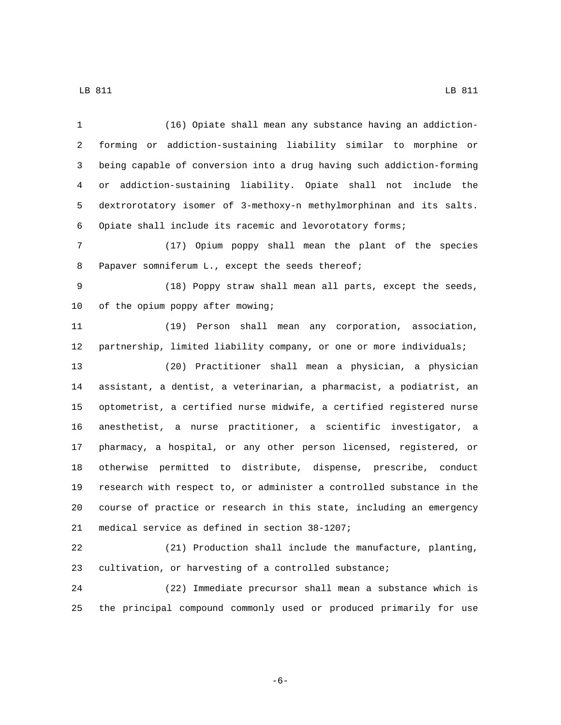(16) Opiate shall mean any substance having an addiction- forming or addiction-sustaining liability similar to morphine or being capable of conversion into a drug having such addiction-forming or addiction-sustaining liability. Opiate shall not include the dextrorotatory isomer of 3-methoxy-n methylmorphinan and its salts. Opiate shall include its racemic and levorotatory forms; (17) Opium poppy shall mean the plant of the species 8 Papaver somniferum L., except the seeds thereof; (18) Poppy straw shall mean all parts, except the seeds, 10 of the opium poppy after mowing; (19) Person shall mean any corporation, association, partnership, limited liability company, or one or more individuals; (20) Practitioner shall mean a physician, a physician assistant, a dentist, a veterinarian, a pharmacist, a podiatrist, an optometrist, a certified nurse midwife, a certified registered nurse anesthetist, a nurse practitioner, a scientific investigator, a pharmacy, a hospital, or any other person licensed, registered, or otherwise permitted to distribute, dispense, prescribe, conduct research with respect to, or administer a controlled substance in the course of practice or research in this state, including an emergency 21 medical service as defined in section 38-1207; (21) Production shall include the manufacture, planting, cultivation, or harvesting of a controlled substance; (22) Immediate precursor shall mean a substance which is

the principal compound commonly used or produced primarily for use

-6-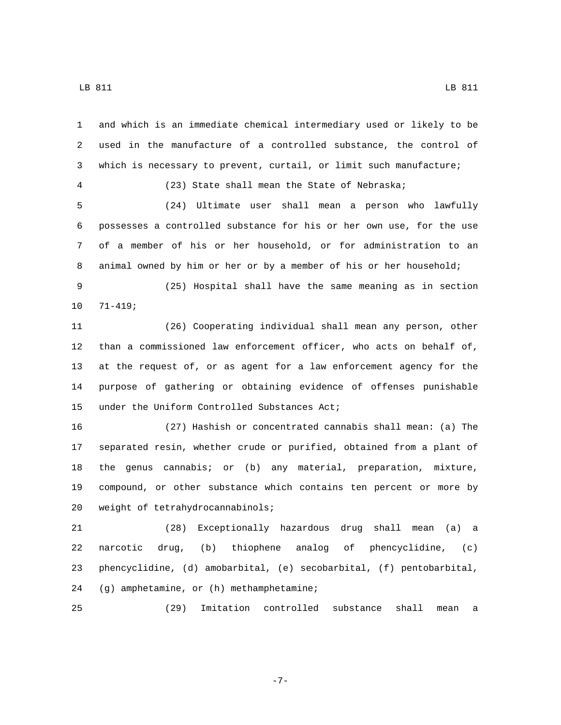and which is an immediate chemical intermediary used or likely to be used in the manufacture of a controlled substance, the control of which is necessary to prevent, curtail, or limit such manufacture; (23) State shall mean the State of Nebraska; (24) Ultimate user shall mean a person who lawfully possesses a controlled substance for his or her own use, for the use of a member of his or her household, or for administration to an animal owned by him or her or by a member of his or her household; (25) Hospital shall have the same meaning as in section  $71-419;$  (26) Cooperating individual shall mean any person, other than a commissioned law enforcement officer, who acts on behalf of, at the request of, or as agent for a law enforcement agency for the purpose of gathering or obtaining evidence of offenses punishable 15 under the Uniform Controlled Substances Act; (27) Hashish or concentrated cannabis shall mean: (a) The separated resin, whether crude or purified, obtained from a plant of the genus cannabis; or (b) any material, preparation, mixture, compound, or other substance which contains ten percent or more by 20 weight of tetrahydrocannabinols; (28) Exceptionally hazardous drug shall mean (a) a narcotic drug, (b) thiophene analog of phencyclidine, (c) phencyclidine, (d) amobarbital, (e) secobarbital, (f) pentobarbital, 24 (g) amphetamine, or (h) methamphetamine;

-7-

(29) Imitation controlled substance shall mean a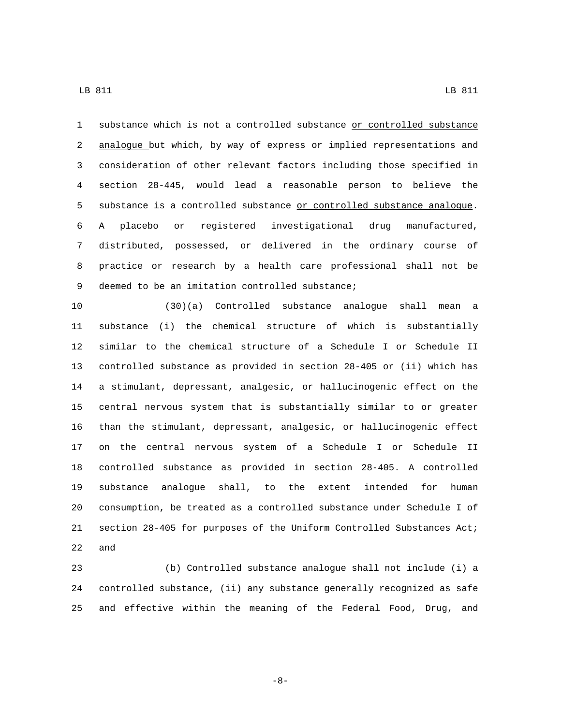substance which is not a controlled substance or controlled substance 2 analogue but which, by way of express or implied representations and consideration of other relevant factors including those specified in section 28-445, would lead a reasonable person to believe the 5 substance is a controlled substance or controlled substance analogue. A placebo or registered investigational drug manufactured, distributed, possessed, or delivered in the ordinary course of practice or research by a health care professional shall not be 9 deemed to be an imitation controlled substance;

 (30)(a) Controlled substance analogue shall mean a substance (i) the chemical structure of which is substantially similar to the chemical structure of a Schedule I or Schedule II controlled substance as provided in section 28-405 or (ii) which has a stimulant, depressant, analgesic, or hallucinogenic effect on the central nervous system that is substantially similar to or greater than the stimulant, depressant, analgesic, or hallucinogenic effect on the central nervous system of a Schedule I or Schedule II controlled substance as provided in section 28-405. A controlled substance analogue shall, to the extent intended for human consumption, be treated as a controlled substance under Schedule I of section 28-405 for purposes of the Uniform Controlled Substances Act; and

 (b) Controlled substance analogue shall not include (i) a controlled substance, (ii) any substance generally recognized as safe and effective within the meaning of the Federal Food, Drug, and

-8-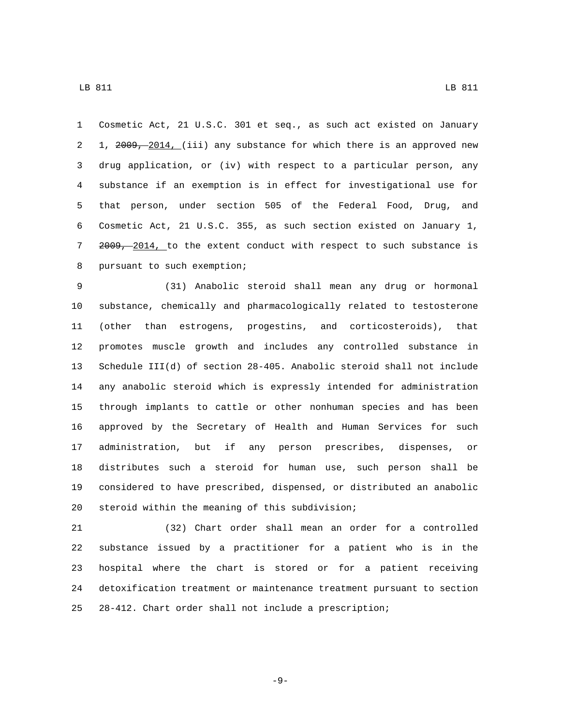Cosmetic Act, 21 U.S.C. 301 et seq., as such act existed on January 2 1, 2009, 2014, (iii) any substance for which there is an approved new drug application, or (iv) with respect to a particular person, any substance if an exemption is in effect for investigational use for that person, under section 505 of the Federal Food, Drug, and Cosmetic Act, 21 U.S.C. 355, as such section existed on January 1, 7 2009, 2014, to the extent conduct with respect to such substance is 8 pursuant to such exemption;

 (31) Anabolic steroid shall mean any drug or hormonal substance, chemically and pharmacologically related to testosterone (other than estrogens, progestins, and corticosteroids), that promotes muscle growth and includes any controlled substance in Schedule III(d) of section 28-405. Anabolic steroid shall not include any anabolic steroid which is expressly intended for administration through implants to cattle or other nonhuman species and has been approved by the Secretary of Health and Human Services for such administration, but if any person prescribes, dispenses, or distributes such a steroid for human use, such person shall be considered to have prescribed, dispensed, or distributed an anabolic 20 steroid within the meaning of this subdivision;

 (32) Chart order shall mean an order for a controlled substance issued by a practitioner for a patient who is in the hospital where the chart is stored or for a patient receiving detoxification treatment or maintenance treatment pursuant to section 28-412. Chart order shall not include a prescription;

-9-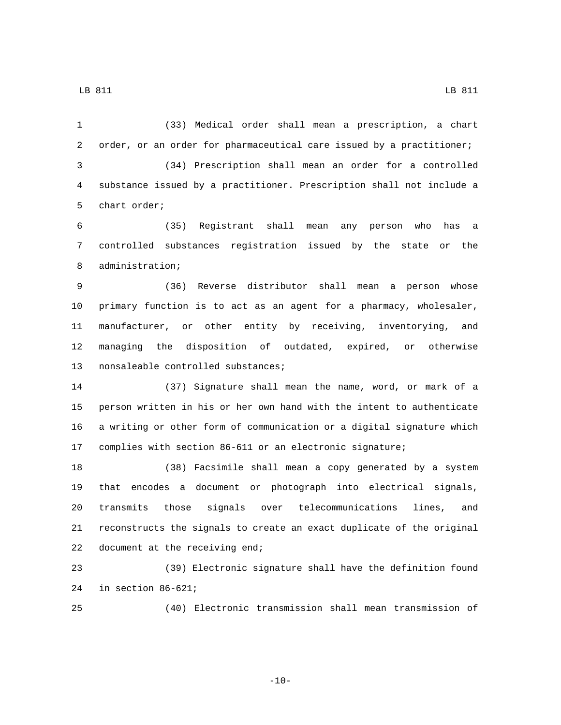(33) Medical order shall mean a prescription, a chart order, or an order for pharmaceutical care issued by a practitioner; (34) Prescription shall mean an order for a controlled substance issued by a practitioner. Prescription shall not include a 5 chart order;

 (35) Registrant shall mean any person who has a controlled substances registration issued by the state or the 8 administration;

 (36) Reverse distributor shall mean a person whose primary function is to act as an agent for a pharmacy, wholesaler, manufacturer, or other entity by receiving, inventorying, and managing the disposition of outdated, expired, or otherwise 13 nonsaleable controlled substances;

 (37) Signature shall mean the name, word, or mark of a person written in his or her own hand with the intent to authenticate a writing or other form of communication or a digital signature which complies with section 86-611 or an electronic signature;

 (38) Facsimile shall mean a copy generated by a system that encodes a document or photograph into electrical signals, transmits those signals over telecommunications lines, and reconstructs the signals to create an exact duplicate of the original 22 document at the receiving end;

 (39) Electronic signature shall have the definition found 24 in section  $86-621$ ;

(40) Electronic transmission shall mean transmission of

-10-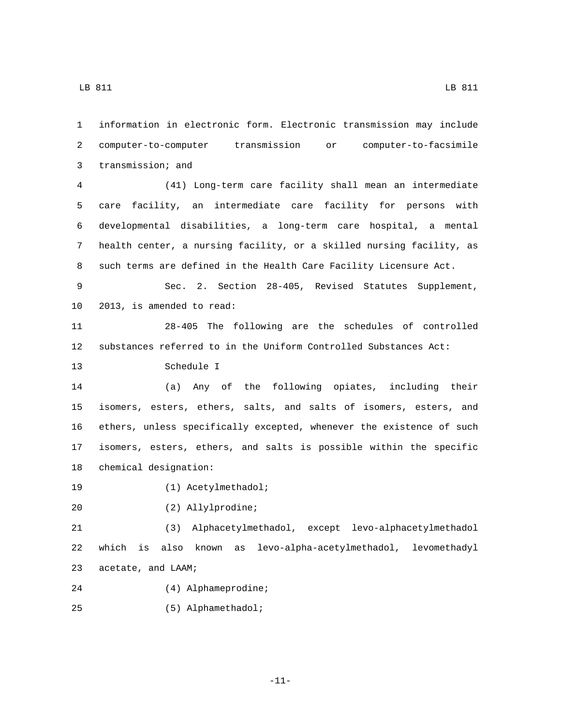information in electronic form. Electronic transmission may include computer-to-computer transmission or computer-to-facsimile 3 transmission; and (41) Long-term care facility shall mean an intermediate care facility, an intermediate care facility for persons with developmental disabilities, a long-term care hospital, a mental health center, a nursing facility, or a skilled nursing facility, as such terms are defined in the Health Care Facility Licensure Act. Sec. 2. Section 28-405, Revised Statutes Supplement, 10 2013, is amended to read:

11 28-405 The following are the schedules of controlled 12 substances referred to in the Uniform Controlled Substances Act:

13 Schedule I

 (a) Any of the following opiates, including their isomers, esters, ethers, salts, and salts of isomers, esters, and ethers, unless specifically excepted, whenever the existence of such isomers, esters, ethers, and salts is possible within the specific 18 chemical designation:

19 (1) Acetylmethadol;

20 (2) Allylprodine;

21 (3) Alphacetylmethadol, except levo-alphacetylmethadol 22 which is also known as levo-alpha-acetylmethadol, levomethadyl 23 acetate, and LAAM;

- 24 (4) Alphameprodine;
- (5) Alphamethadol;25

-11-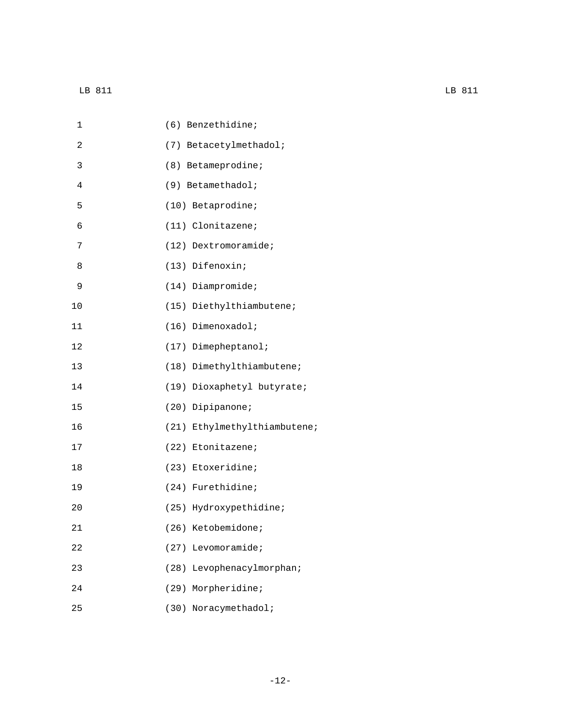| 1  | (6) Benzethidine;            |
|----|------------------------------|
| 2  | (7) Betacetylmethadol;       |
| 3  | (8) Betameprodine;           |
| 4  | (9) Betamethadol;            |
| 5  | (10) Betaprodine;            |
| 6  | $(11)$ Clonitazene;          |
| 7  | $(12)$ Dextromoramide;       |
| 8  | (13) Difenoxin;              |
| 9  | $(14)$ Diampromide;          |
| 10 | (15) Diethylthiambutene;     |
| 11 | $(16)$ Dimenoxadol;          |
| 12 | (17) Dimepheptanol;          |
| 13 | (18) Dimethylthiambutene;    |
| 14 | (19) Dioxaphetyl butyrate;   |
| 15 | (20) Dipipanone;             |
| 16 | (21) Ethylmethylthiambutene; |
| 17 | (22) Etonitazene;            |
| 18 | (23) Etoxeridine;            |
| 19 | (24) Furethidine;            |
| 20 | (25) Hydroxypethidine;       |
| 21 | (26) Ketobemidone;           |
| 22 | (27) Levomoramide;           |
| 23 | (28) Levophenacylmorphan;    |
| 24 | (29) Morpheridine;           |
| 25 | (30) Noracymethadol;         |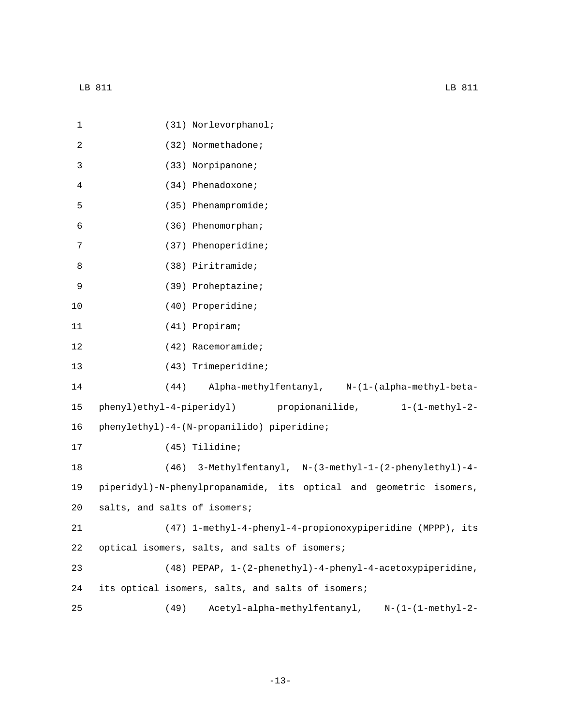| 1  | (31) Norlevorphanol;                                               |
|----|--------------------------------------------------------------------|
| 2  | (32) Normethadone;                                                 |
| 3  | (33) Norpipanone;                                                  |
| 4  | (34) Phenadoxone;                                                  |
| 5  | (35) Phenampromide;                                                |
| 6  | (36) Phenomorphan;                                                 |
| 7  | (37) Phenoperidine;                                                |
| 8  | (38) Piritramide;                                                  |
| 9  | (39) Proheptazine;                                                 |
| 10 | (40) Properidine;                                                  |
| 11 | (41) Propiram;                                                     |
| 12 | (42) Racemoramide;                                                 |
| 13 | (43) Trimeperidine;                                                |
| 14 | Alpha-methylfentanyl, N-(1-(alpha-methyl-beta-<br>(44)             |
| 15 | phenyl)ethyl-4-piperidyl) propionanilide, 1-(1-methyl-2-           |
| 16 | phenylethyl)-4-(N-propanilido) piperidine;                         |
| 17 | (45) Tilidine;                                                     |
| 18 | (46) 3-Methylfentanyl, N-(3-methyl-1-(2-phenylethyl)-4-            |
| 19 | piperidyl)-N-phenylpropanamide, its optical and geometric isomers, |
| 20 | salts, and salts of isomers;                                       |
| 21 | (47) 1-methyl-4-phenyl-4-propionoxypiperidine (MPPP), its          |
| 22 | optical isomers, salts, and salts of isomers;                      |
| 23 | (48) PEPAP, 1-(2-phenethyl)-4-phenyl-4-acetoxypiperidine,          |
| 24 | its optical isomers, salts, and salts of isomers;                  |
| 25 | Acetyl-alpha-methylfentanyl, N-(1-(1-methyl-2-<br>(49)             |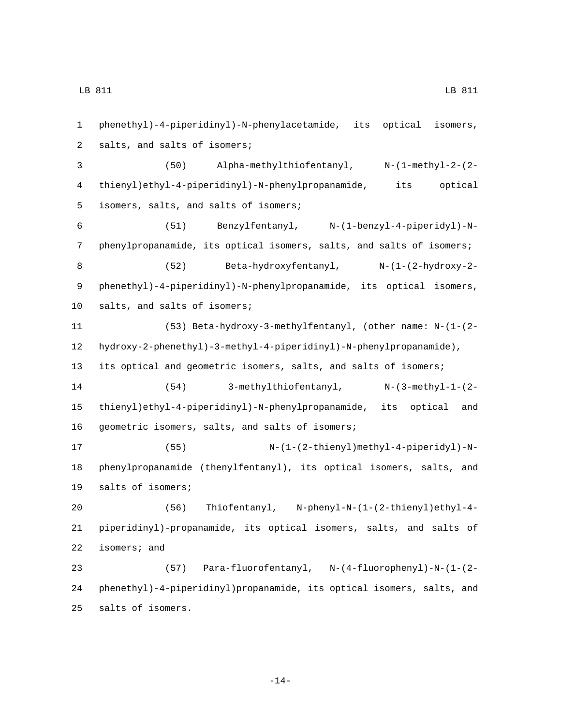phenethyl)-4-piperidinyl)-N-phenylacetamide, its optical isomers, 2 salts, and salts of isomers; (50) Alpha-methylthiofentanyl, N-(1-methyl-2-(2- thienyl)ethyl-4-piperidinyl)-N-phenylpropanamide, its optical 5 isomers, salts, and salts of isomers; (51) Benzylfentanyl, N-(1-benzyl-4-piperidyl)-N- phenylpropanamide, its optical isomers, salts, and salts of isomers; (52) Beta-hydroxyfentanyl, N-(1-(2-hydroxy-2- phenethyl)-4-piperidinyl)-N-phenylpropanamide, its optical isomers, 10 salts, and salts of isomers; (53) Beta-hydroxy-3-methylfentanyl, (other name: N-(1-(2- hydroxy-2-phenethyl)-3-methyl-4-piperidinyl)-N-phenylpropanamide), its optical and geometric isomers, salts, and salts of isomers; (54) 3-methylthiofentanyl, N-(3-methyl-1-(2- thienyl)ethyl-4-piperidinyl)-N-phenylpropanamide, its optical and 16 geometric isomers, salts, and salts of isomers; (55) N-(1-(2-thienyl)methyl-4-piperidyl)-N- phenylpropanamide (thenylfentanyl), its optical isomers, salts, and 19 salts of isomers; (56) Thiofentanyl, N-phenyl-N-(1-(2-thienyl)ethyl-4- piperidinyl)-propanamide, its optical isomers, salts, and salts of isomers; and (57) Para-fluorofentanyl, N-(4-fluorophenyl)-N-(1-(2- phenethyl)-4-piperidinyl)propanamide, its optical isomers, salts, and 25 salts of isomers.

-14-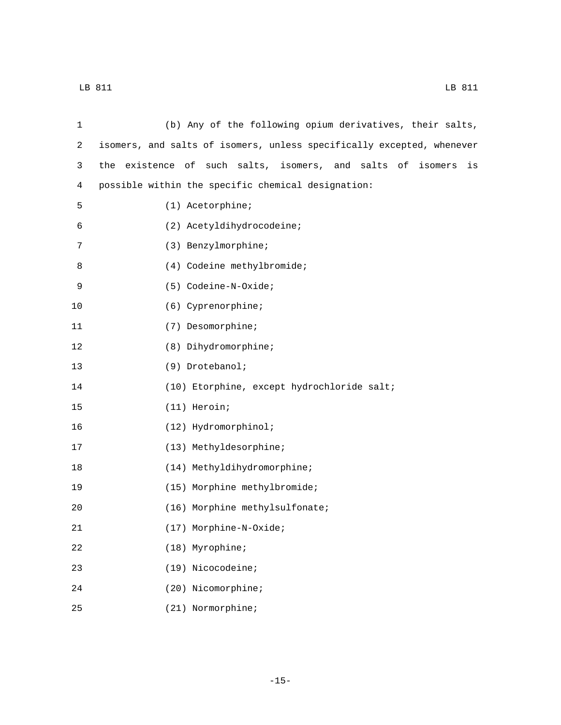| 1  | (b) Any of the following opium derivatives, their salts,              |
|----|-----------------------------------------------------------------------|
| 2  | isomers, and salts of isomers, unless specifically excepted, whenever |
| 3  | the existence of such salts, isomers, and salts of isomers<br>is      |
| 4  | possible within the specific chemical designation:                    |
| 5  | $(1)$ Acetorphine;                                                    |
| 6  | (2) Acetyldihydrocodeine;                                             |
| 7  | (3) Benzylmorphine;                                                   |
| 8  | (4) Codeine methylbromide;                                            |
| 9  | (5) Codeine-N-Oxide;                                                  |
| 10 | (6) Cyprenorphine;                                                    |
| 11 | (7) Desomorphine;                                                     |
| 12 | (8) Dihydromorphine;                                                  |
| 13 | (9) Drotebanol;                                                       |
| 14 | (10) Etorphine, except hydrochloride salt;                            |
| 15 | (11) Heroin;                                                          |
| 16 | (12) Hydromorphinol;                                                  |
| 17 | (13) Methyldesorphine;                                                |
| 18 | (14) Methyldihydromorphine;                                           |
| 19 | (15) Morphine methylbromide;                                          |
| 20 | (16) Morphine methylsulfonate;                                        |
| 21 | (17) Morphine-N-Oxide;                                                |
| 22 | (18) Myrophine;                                                       |
| 23 | (19) Nicocodeine;                                                     |
| 24 | (20) Nicomorphine;                                                    |
| 25 | (21) Normorphine;                                                     |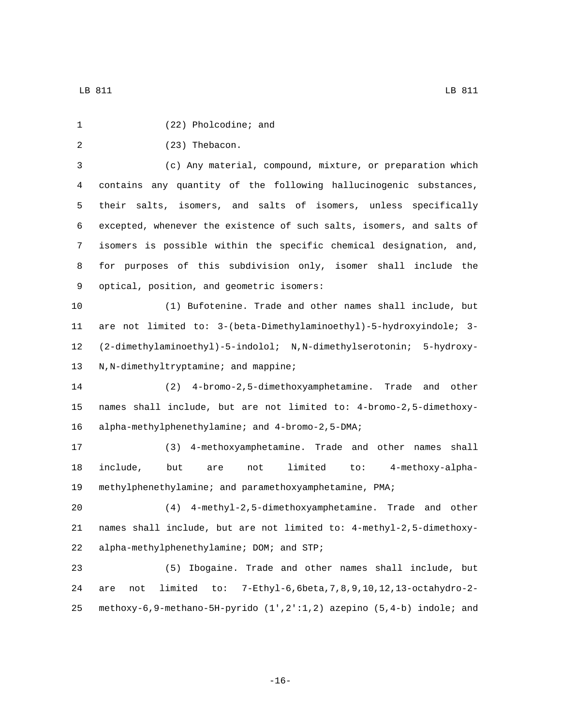| 1              | (22) Pholcodine; and                                                               |
|----------------|------------------------------------------------------------------------------------|
| $\overline{a}$ | (23) Thebacon.                                                                     |
| $\mathbf{3}$   | (c) Any material, compound, mixture, or preparation which                          |
| 4              | contains any quantity of the following hallucinogenic substances,                  |
| 5              | their salts, isomers, and salts of isomers, unless specifically                    |
| 6              | excepted, whenever the existence of such salts, isomers, and salts of              |
| 7              | isomers is possible within the specific chemical designation, and,                 |
| 8              | for purposes of this subdivision only, isomer shall include the                    |
| 9              | optical, position, and geometric isomers:                                          |
| 10             | (1) Bufotenine. Trade and other names shall include, but                           |
| 11             | are not limited to: 3-(beta-Dimethylaminoethyl)-5-hydroxyindole; 3-                |
| 12             | (2-dimethylaminoethyl)-5-indolol; N,N-dimethylserotonin; 5-hydroxy-                |
| 13             | N, N-dimethyltryptamine; and mappine;                                              |
| 14             | 4-bromo-2,5-dimethoxyamphetamine. Trade and other<br>(2)                           |
| 15             | names shall include, but are not limited to: 4-bromo-2,5-dimethoxy-                |
| 16             | alpha-methylphenethylamine; and 4-bromo-2,5-DMA;                                   |
| 17             | (3) 4-methoxyamphetamine. Trade and other names<br>shall                           |
| 18             | limited<br>to: 4-methoxy-alpha-<br>include,<br>but<br>are<br>not                   |
| 19             | methylphenethylamine; and paramethoxyamphetamine, PMA;                             |
| 20             | (4) 4-methyl-2,5-dimethoxyamphetamine. Trade and other                             |
| 21             | names shall include, but are not limited to: 4-methyl-2,5-dimethoxy-               |
| 22             | alpha-methylphenethylamine; DOM; and STP;                                          |
| 23             | Ibogaine. Trade and other names shall include, but<br>(5)                          |
| 24             | 7-Ethyl-6, 6beta, 7, 8, 9, 10, 12, 13-octahydro-2-<br>limited<br>to:<br>not<br>are |
| 25             | methoxy-6,9-methano-5H-pyrido (1',2':1,2) azepino (5,4-b) indole; and              |

-16-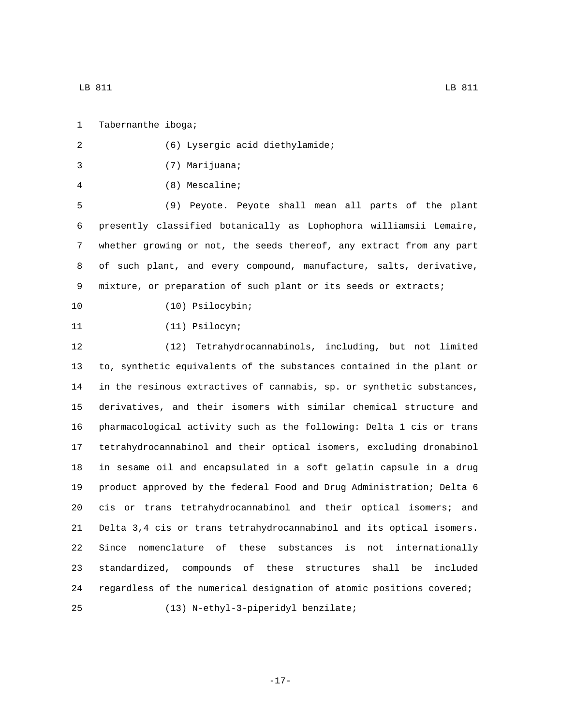1 Tabernanthe iboga;

LB 811 LB 811

| 2  | (6) Lysergic acid diethylamide;                                        |
|----|------------------------------------------------------------------------|
| 3  | (7) Marijuana;                                                         |
| 4  | $(8)$ Mescaline;                                                       |
| 5  | (9) Peyote. Peyote shall mean all parts of the plant                   |
| 6  | presently classified botanically as Lophophora williamsii Lemaire,     |
| 7  | whether growing or not, the seeds thereof, any extract from any part   |
| 8  | of such plant, and every compound, manufacture, salts, derivative,     |
| 9  | mixture, or preparation of such plant or its seeds or extracts;        |
| 10 | (10) Psilocybin;                                                       |
| 11 | $(11)$ Psilocyn;                                                       |
| 12 | Tetrahydrocannabinols, including, but not limited<br>(12)              |
| 13 | to, synthetic equivalents of the substances contained in the plant or  |
| 14 | in the resinous extractives of cannabis, sp. or synthetic substances,  |
| 15 | derivatives, and their isomers with similar chemical structure and     |
| 16 | pharmacological activity such as the following: Delta 1 cis or trans   |
| 17 | tetrahydrocannabinol and their optical isomers, excluding dronabinol   |
| 18 | in sesame oil and encapsulated in a soft gelatin capsule in a drug     |
| 19 | product approved by the federal Food and Drug Administration; Delta 6  |
| 20 | cis or trans tetrahydrocannabinol and their optical isomers;<br>and    |
| 21 | Delta 3,4 cis or trans tetrahydrocannabinol and its optical isomers.   |
| 22 | Since nomenclature of<br>these substances<br>is<br>not internationally |
| 23 | standardized, compounds of these structures<br>shall<br>be<br>included |
| 24 | regardless of the numerical designation of atomic positions covered;   |
| 25 | (13) N-ethyl-3-piperidyl benzilate;                                    |

-17-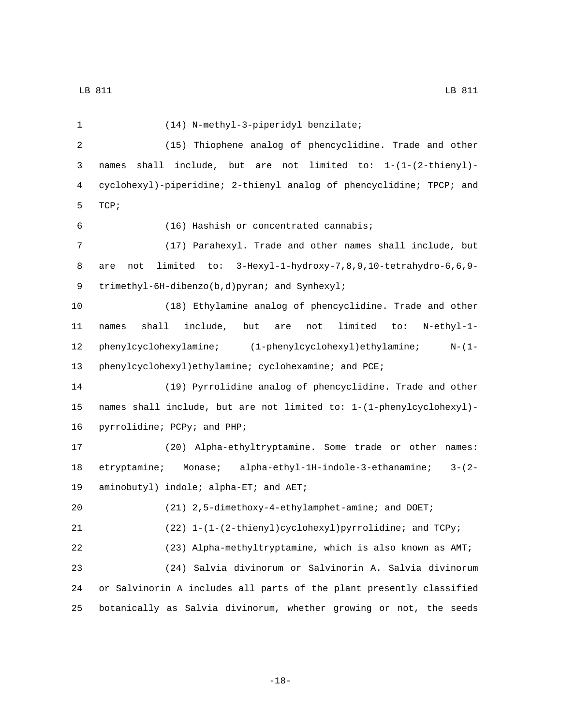(14) N-methyl-3-piperidyl benzilate;1 (15) Thiophene analog of phencyclidine. Trade and other names shall include, but are not limited to: 1-(1-(2-thienyl)- cyclohexyl)-piperidine; 2-thienyl analog of phencyclidine; TPCP; and 5 TCP; (16) Hashish or concentrated cannabis;6 (17) Parahexyl. Trade and other names shall include, but are not limited to: 3-Hexyl-1-hydroxy-7,8,9,10-tetrahydro-6,6,9- 9 trimethyl-6H-dibenzo(b,d)pyran; and Synhexyl; (18) Ethylamine analog of phencyclidine. Trade and other names shall include, but are not limited to: N-ethyl-1- phenylcyclohexylamine; (1-phenylcyclohexyl)ethylamine; N-(1- 13 phenylcyclohexyl)ethylamine; cyclohexamine; and PCE; (19) Pyrrolidine analog of phencyclidine. Trade and other names shall include, but are not limited to: 1-(1-phenylcyclohexyl)- 16 pyrrolidine; PCPy; and PHP; (20) Alpha-ethyltryptamine. Some trade or other names: etryptamine; Monase; alpha-ethyl-1H-indole-3-ethanamine; 3-(2- 19 aminobutyl) indole; alpha-ET; and AET; (21) 2,5-dimethoxy-4-ethylamphet-amine; and DOET; 21 (22) 1-(1-(2-thienyl)cyclohexyl)pyrrolidine; and TCPy; (23) Alpha-methyltryptamine, which is also known as AMT; (24) Salvia divinorum or Salvinorin A. Salvia divinorum or Salvinorin A includes all parts of the plant presently classified botanically as Salvia divinorum, whether growing or not, the seeds

-18-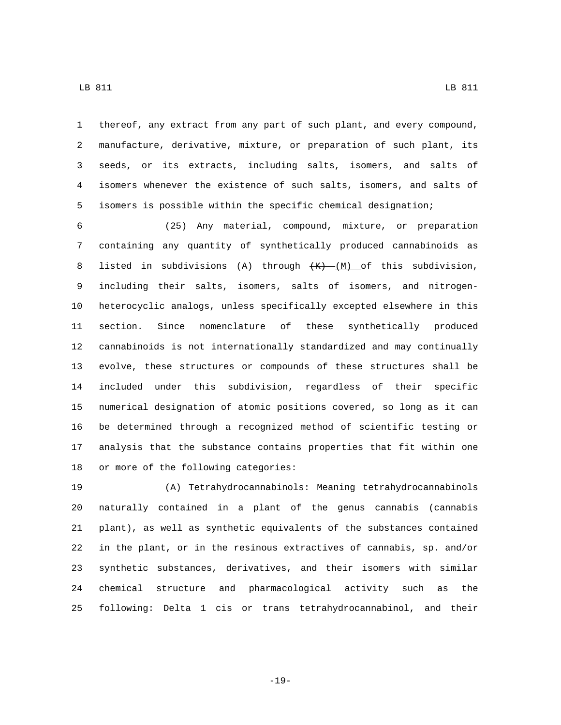LB 811 LB 811

 thereof, any extract from any part of such plant, and every compound, manufacture, derivative, mixture, or preparation of such plant, its seeds, or its extracts, including salts, isomers, and salts of isomers whenever the existence of such salts, isomers, and salts of isomers is possible within the specific chemical designation;

 (25) Any material, compound, mixture, or preparation containing any quantity of synthetically produced cannabinoids as 8 listed in subdivisions (A) through  $\frac{1}{(M)}$  of this subdivision, including their salts, isomers, salts of isomers, and nitrogen- heterocyclic analogs, unless specifically excepted elsewhere in this section. Since nomenclature of these synthetically produced cannabinoids is not internationally standardized and may continually evolve, these structures or compounds of these structures shall be included under this subdivision, regardless of their specific numerical designation of atomic positions covered, so long as it can be determined through a recognized method of scientific testing or analysis that the substance contains properties that fit within one 18 or more of the following categories:

 (A) Tetrahydrocannabinols: Meaning tetrahydrocannabinols naturally contained in a plant of the genus cannabis (cannabis plant), as well as synthetic equivalents of the substances contained in the plant, or in the resinous extractives of cannabis, sp. and/or synthetic substances, derivatives, and their isomers with similar chemical structure and pharmacological activity such as the following: Delta 1 cis or trans tetrahydrocannabinol, and their

-19-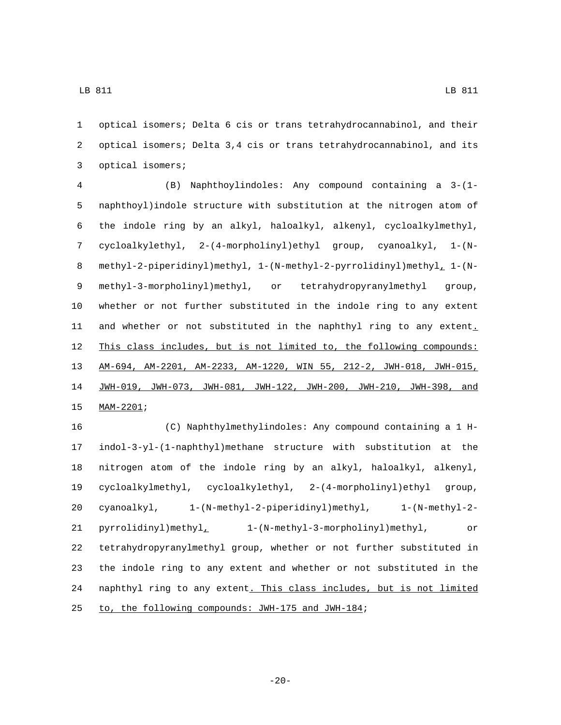optical isomers; Delta 6 cis or trans tetrahydrocannabinol, and their optical isomers; Delta 3,4 cis or trans tetrahydrocannabinol, and its 3 optical isomers;

 (B) Naphthoylindoles: Any compound containing a 3-(1- naphthoyl)indole structure with substitution at the nitrogen atom of the indole ring by an alkyl, haloalkyl, alkenyl, cycloalkylmethyl, cycloalkylethyl, 2-(4-morpholinyl)ethyl group, cyanoalkyl, 1-(N- methyl-2-piperidinyl)methyl, 1-(N-methyl-2-pyrrolidinyl)methyl, 1-(N- methyl-3-morpholinyl)methyl, or tetrahydropyranylmethyl group, whether or not further substituted in the indole ring to any extent 11 and whether or not substituted in the naphthyl ring to any extent. This class includes, but is not limited to, the following compounds: AM-694, AM-2201, AM-2233, AM-1220, WIN 55, 212-2, JWH-018, JWH-015, JWH-019, JWH-073, JWH-081, JWH-122, JWH-200, JWH-210, JWH-398, and 15 MAM-2201;

 (C) Naphthylmethylindoles: Any compound containing a 1 H- indol-3-yl-(1-naphthyl)methane structure with substitution at the nitrogen atom of the indole ring by an alkyl, haloalkyl, alkenyl, cycloalkylmethyl, cycloalkylethyl, 2-(4-morpholinyl)ethyl group, cyanoalkyl, 1-(N-methyl-2-piperidinyl)methyl, 1-(N-methyl-2- pyrrolidinyl)methyl, 1-(N-methyl-3-morpholinyl)methyl, or tetrahydropyranylmethyl group, whether or not further substituted in the indole ring to any extent and whether or not substituted in the 24 naphthyl ring to any extent. This class includes, but is not limited 25 to, the following compounds: JWH-175 and JWH-184;

 $-20-$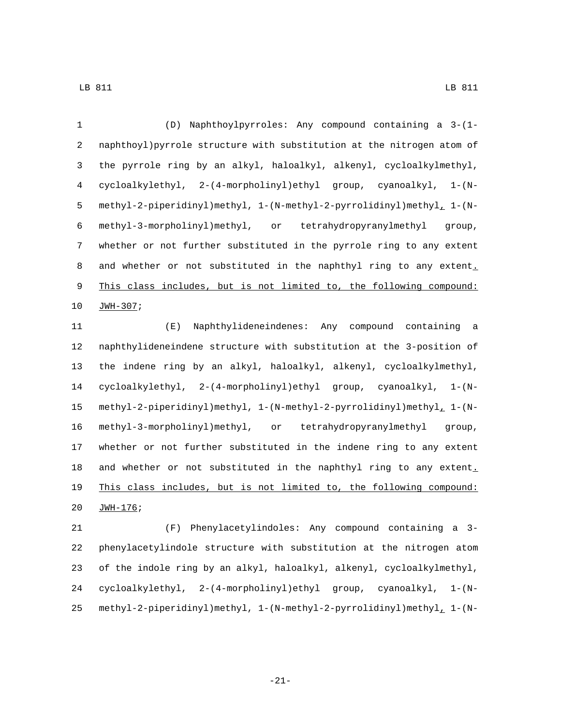(D) Naphthoylpyrroles: Any compound containing a 3-(1- naphthoyl)pyrrole structure with substitution at the nitrogen atom of the pyrrole ring by an alkyl, haloalkyl, alkenyl, cycloalkylmethyl, cycloalkylethyl, 2-(4-morpholinyl)ethyl group, cyanoalkyl, 1-(N- methyl-2-piperidinyl)methyl, 1-(N-methyl-2-pyrrolidinyl)methyl, 1-(N- methyl-3-morpholinyl)methyl, or tetrahydropyranylmethyl group, whether or not further substituted in the pyrrole ring to any extent 8 and whether or not substituted in the naphthyl ring to any extent. This class includes, but is not limited to, the following compound: 10 JWH-307;

 (E) Naphthylideneindenes: Any compound containing a naphthylideneindene structure with substitution at the 3-position of the indene ring by an alkyl, haloalkyl, alkenyl, cycloalkylmethyl, cycloalkylethyl, 2-(4-morpholinyl)ethyl group, cyanoalkyl, 1-(N- methyl-2-piperidinyl)methyl, 1-(N-methyl-2-pyrrolidinyl)methyl, 1-(N- methyl-3-morpholinyl)methyl, or tetrahydropyranylmethyl group, whether or not further substituted in the indene ring to any extent 18 and whether or not substituted in the naphthyl ring to any extent. This class includes, but is not limited to, the following compound: 20 JWH-176;

 (F) Phenylacetylindoles: Any compound containing a 3- phenylacetylindole structure with substitution at the nitrogen atom of the indole ring by an alkyl, haloalkyl, alkenyl, cycloalkylmethyl, cycloalkylethyl, 2-(4-morpholinyl)ethyl group, cyanoalkyl, 1-(N-methyl-2-piperidinyl)methyl, 1-(N-methyl-2-pyrrolidinyl)methyl, 1-(N-

-21-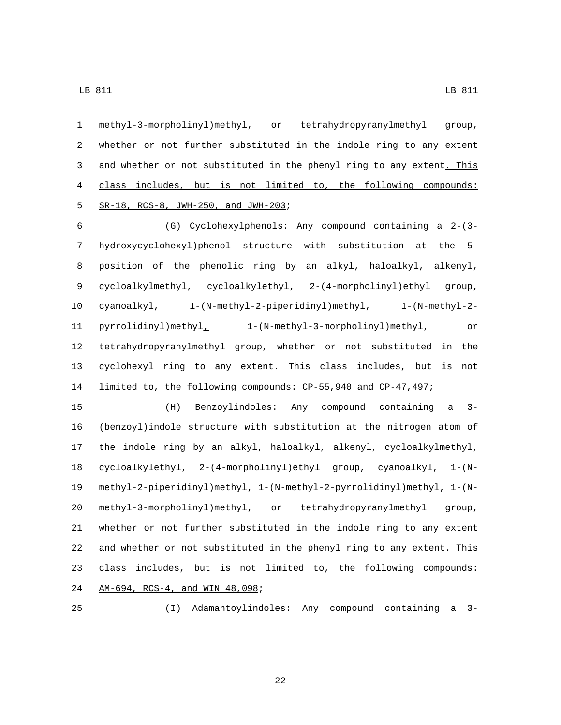methyl-3-morpholinyl)methyl, or tetrahydropyranylmethyl group, whether or not further substituted in the indole ring to any extent 3 and whether or not substituted in the phenyl ring to any extent. This class includes, but is not limited to, the following compounds: SR-18, RCS-8, JWH-250, and JWH-203;

 (G) Cyclohexylphenols: Any compound containing a 2-(3- hydroxycyclohexyl)phenol structure with substitution at the 5- position of the phenolic ring by an alkyl, haloalkyl, alkenyl, cycloalkylmethyl, cycloalkylethyl, 2-(4-morpholinyl)ethyl group, cyanoalkyl, 1-(N-methyl-2-piperidinyl)methyl, 1-(N-methyl-2- pyrrolidinyl)methyl, 1-(N-methyl-3-morpholinyl)methyl, or tetrahydropyranylmethyl group, whether or not substituted in the 13 cyclohexyl ring to any extent. This class includes, but is not limited to, the following compounds: CP-55,940 and CP-47,497;

 (H) Benzoylindoles: Any compound containing a 3- (benzoyl)indole structure with substitution at the nitrogen atom of the indole ring by an alkyl, haloalkyl, alkenyl, cycloalkylmethyl, cycloalkylethyl, 2-(4-morpholinyl)ethyl group, cyanoalkyl, 1-(N- methyl-2-piperidinyl)methyl, 1-(N-methyl-2-pyrrolidinyl)methyl, 1-(N- methyl-3-morpholinyl)methyl, or tetrahydropyranylmethyl group, whether or not further substituted in the indole ring to any extent and whether or not substituted in the phenyl ring to any extent. This class includes, but is not limited to, the following compounds: 24 AM-694, RCS-4, and WIN 48,098;

(I) Adamantoylindoles: Any compound containing a 3-

-22-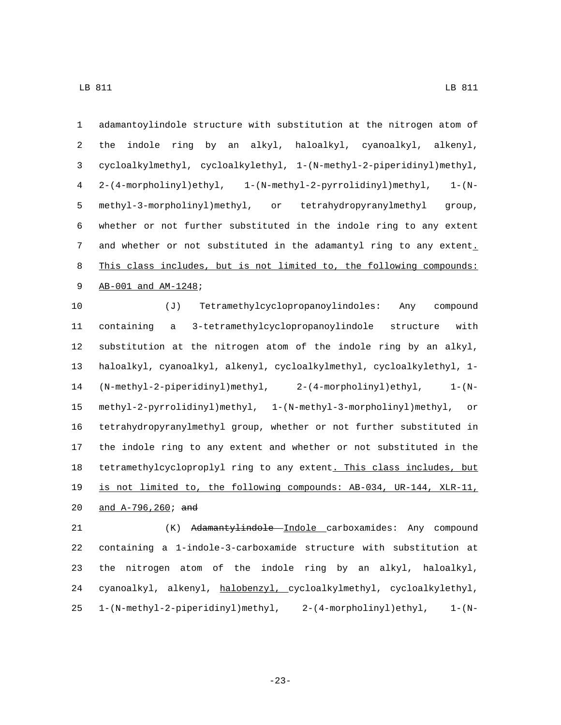adamantoylindole structure with substitution at the nitrogen atom of the indole ring by an alkyl, haloalkyl, cyanoalkyl, alkenyl, cycloalkylmethyl, cycloalkylethyl, 1-(N-methyl-2-piperidinyl)methyl, 2-(4-morpholinyl)ethyl, 1-(N-methyl-2-pyrrolidinyl)methyl, 1-(N- methyl-3-morpholinyl)methyl, or tetrahydropyranylmethyl group, whether or not further substituted in the indole ring to any extent and whether or not substituted in the adamantyl ring to any extent. This class includes, but is not limited to, the following compounds: 9 AB-001 and AM-1248;

 (J) Tetramethylcyclopropanoylindoles: Any compound containing a 3-tetramethylcyclopropanoylindole structure with substitution at the nitrogen atom of the indole ring by an alkyl, haloalkyl, cyanoalkyl, alkenyl, cycloalkylmethyl, cycloalkylethyl, 1- (N-methyl-2-piperidinyl)methyl, 2-(4-morpholinyl)ethyl, 1-(N- methyl-2-pyrrolidinyl)methyl, 1-(N-methyl-3-morpholinyl)methyl, or tetrahydropyranylmethyl group, whether or not further substituted in the indole ring to any extent and whether or not substituted in the tetramethylcycloproplyl ring to any extent. This class includes, but is not limited to, the following compounds: AB-034, UR-144, XLR-11, 20 and A-796,260; and

 (K) Adamantylindole Indole carboxamides: Any compound containing a 1-indole-3-carboxamide structure with substitution at the nitrogen atom of the indole ring by an alkyl, haloalkyl, cyanoalkyl, alkenyl, halobenzyl, cycloalkylmethyl, cycloalkylethyl, 1-(N-methyl-2-piperidinyl)methyl, 2-(4-morpholinyl)ethyl, 1-(N-

-23-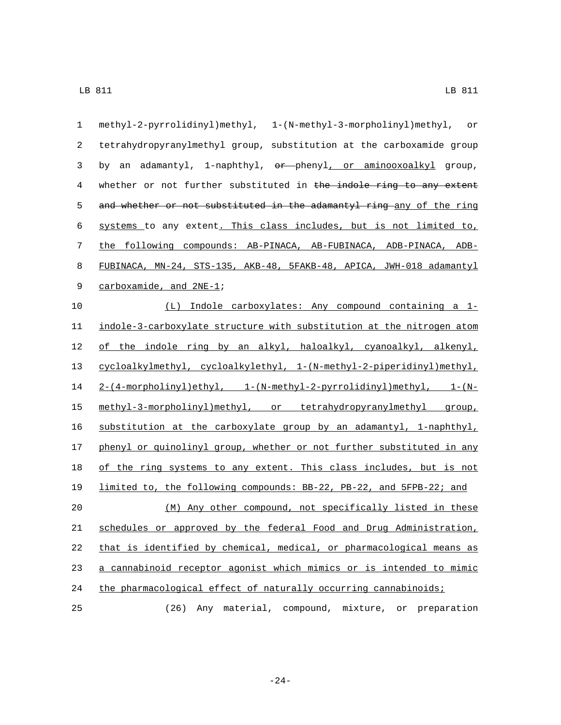| $\mathbf 1$ | methyl-2-pyrrolidinyl)methyl, 1-(N-methyl-3-morpholinyl)methyl, or    |
|-------------|-----------------------------------------------------------------------|
| 2           | tetrahydropyranylmethyl group, substitution at the carboxamide group  |
| 3           | an adamantyl, 1-naphthyl, or phenyl, or aminooxoalkyl group,<br>by    |
| 4           | whether or not further substituted in the indole ring to any extent   |
| 5           | and whether or not substituted in the adamantyl ring any of the ring  |
| $\epsilon$  | systems to any extent. This class includes, but is not limited to,    |
| 7           | the following compounds: AB-PINACA, AB-FUBINACA, ADB-PINACA, ADB-     |
| 8           | FUBINACA, MN-24, STS-135, AKB-48, 5FAKB-48, APICA, JWH-018 adamantyl  |
| 9           | carboxamide, and 2NE-1;                                               |
| 10          | (L) Indole carboxylates: Any compound containing a 1-                 |
| 11          | indole-3-carboxylate structure with substitution at the nitrogen atom |
| 12          | of the indole ring by an alkyl, haloalkyl, cyanoalkyl, alkenyl,       |
| 13          | cycloalkylmethyl, cycloalkylethyl, 1-(N-methyl-2-piperidinyl)methyl,  |
| 14          | $2-(4-morpholinyl)ethyl, 1-(N-methyl-2-pyrrolidinyl)methyl, 1-(N-$    |
| 15          | methyl-3-morpholinyl)methyl, or tetrahydropyranylmethyl group,        |
| 16          | substitution at the carboxylate group by an adamantyl, 1-naphthyl,    |
| 17          | phenyl or quinolinyl group, whether or not further substituted in any |
| 18          | of the ring systems to any extent. This class includes, but is not    |
| 19          | limited to, the following compounds: BB-22, PB-22, and 5FPB-22; and   |
| 20          | (M) Any other compound, not specifically listed in these              |
| 21          | schedules or approved by the federal Food and Drug Administration,    |
| 22          | that is identified by chemical, medical, or pharmacological means as  |
| 23          | a cannabinoid receptor agonist which mimics or is intended to mimic   |
| 24          | the pharmacological effect of naturally occurring cannabinoids;       |
| 25          | material, compound, mixture, or preparation<br>(26)<br>Any            |

-24-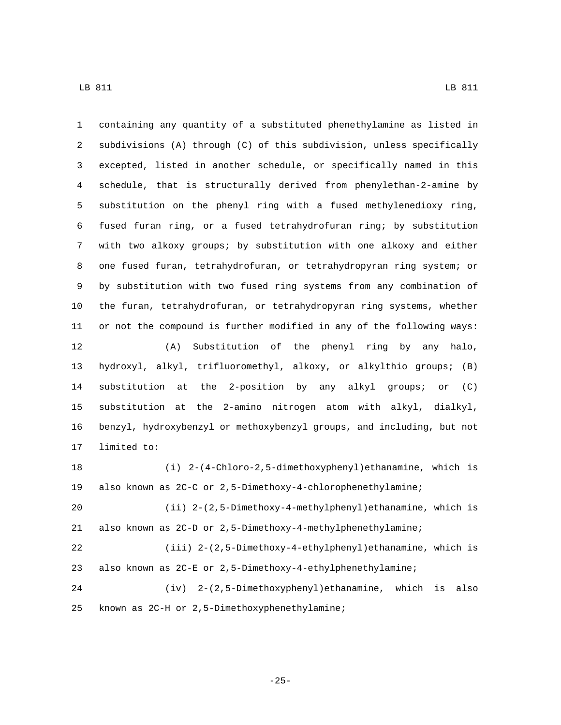containing any quantity of a substituted phenethylamine as listed in subdivisions (A) through (C) of this subdivision, unless specifically excepted, listed in another schedule, or specifically named in this schedule, that is structurally derived from phenylethan-2-amine by substitution on the phenyl ring with a fused methylenedioxy ring, fused furan ring, or a fused tetrahydrofuran ring; by substitution with two alkoxy groups; by substitution with one alkoxy and either one fused furan, tetrahydrofuran, or tetrahydropyran ring system; or by substitution with two fused ring systems from any combination of the furan, tetrahydrofuran, or tetrahydropyran ring systems, whether or not the compound is further modified in any of the following ways: (A) Substitution of the phenyl ring by any halo, hydroxyl, alkyl, trifluoromethyl, alkoxy, or alkylthio groups; (B) substitution at the 2-position by any alkyl groups; or (C) substitution at the 2-amino nitrogen atom with alkyl, dialkyl, benzyl, hydroxybenzyl or methoxybenzyl groups, and including, but not 17 limited to: (i) 2-(4-Chloro-2,5-dimethoxyphenyl)ethanamine, which is also known as 2C-C or 2,5-Dimethoxy-4-chlorophenethylamine; (ii) 2-(2,5-Dimethoxy-4-methylphenyl)ethanamine, which is also known as 2C-D or 2,5-Dimethoxy-4-methylphenethylamine; (iii) 2-(2,5-Dimethoxy-4-ethylphenyl)ethanamine, which is also known as 2C-E or 2,5-Dimethoxy-4-ethylphenethylamine;

 (iv) 2-(2,5-Dimethoxyphenyl)ethanamine, which is also 25 known as 2C-H or 2,5-Dimethoxyphenethylamine;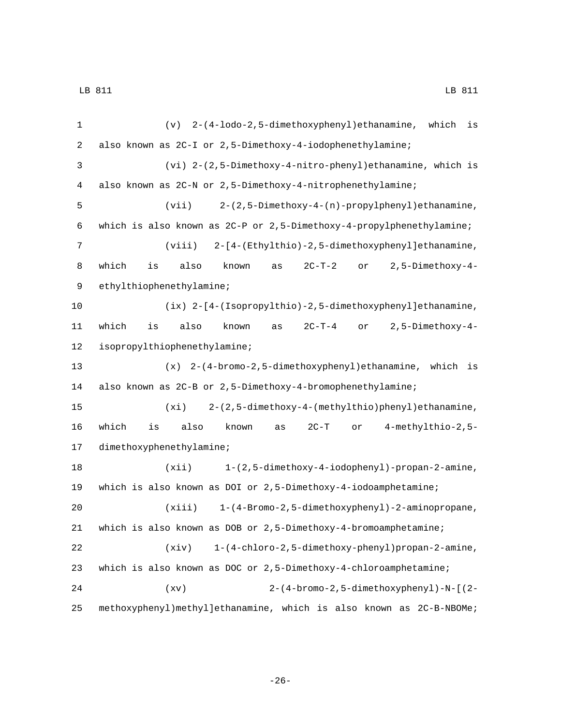| 1            | (v) 2-(4-lodo-2,5-dimethoxyphenyl)ethanamine, which<br>is                        |
|--------------|----------------------------------------------------------------------------------|
| 2            | also known as 2C-I or 2,5-Dimethoxy-4-iodophenethylamine;                        |
| $\mathbf{3}$ | (vi) 2-(2,5-Dimethoxy-4-nitro-phenyl)ethanamine, which is                        |
| 4            | also known as 2C-N or 2,5-Dimethoxy-4-nitrophenethylamine;                       |
| 5            | $(vii)$ 2-(2,5-Dimethoxy-4-(n)-propylphenyl)ethanamine,                          |
| 6            | which is also known as 2C-P or 2,5-Dimethoxy-4-propylphenethylamine;             |
| 7            | 2-[4-(Ethylthio)-2,5-dimethoxyphenyl]ethanamine,<br>(viii)                       |
| 8            | 2,5-Dimethoxy-4-<br>which<br>also<br>known<br>$2C-T-2$<br>is<br>as<br>or         |
| $\mathsf 9$  | ethylthiophenethylamine;                                                         |
| 10           | (ix) 2-[4-(Isopropylthio)-2,5-dimethoxyphenyl]ethanamine,                        |
| 11           | 2,5-Dimethoxy-4-<br>which<br>also<br>$2C-T-4$<br>is<br>known<br>or<br>as         |
| 12           | isopropylthiophenethylamine;                                                     |
| 13           | (x) 2-(4-bromo-2,5-dimethoxyphenyl)ethanamine, which is                          |
| 14           | also known as 2C-B or 2,5-Dimethoxy-4-bromophenethylamine;                       |
| 15           | $(xi)$ 2-(2,5-dimethoxy-4-(methylthio)phenyl)ethanamine,                         |
| 16           | 4-methylthio-2,5-<br>which<br>also<br>known<br>$2C-T$<br>is<br>$\verb"or"$<br>as |
| 17           | dimethoxyphenethylamine;                                                         |
| 18           | 1-(2,5-dimethoxy-4-iodophenyl)-propan-2-amine,<br>(xii)                          |
| 19           | which is also known as DOI or 2,5-Dimethoxy-4-iodoamphetamine;                   |
| 20           | 1-(4-Bromo-2,5-dimethoxyphenyl)-2-aminopropane,<br>(xiii)                        |
| 21           | which is also known as DOB or $2,5$ -Dimethoxy-4-bromoamphetamine;               |
| 22           | (xiv)<br>1-(4-chloro-2,5-dimethoxy-phenyl)propan-2-amine,                        |
| 23           | which is also known as DOC or 2,5-Dimethoxy-4-chloroamphetamine;                 |
| 24           | 2-(4-bromo-2,5-dimethoxyphenyl)-N-[(2-<br>(xv)                                   |
| 25           | methoxyphenyl)methyl]ethanamine, which is also known as 2C-B-NBOMe;              |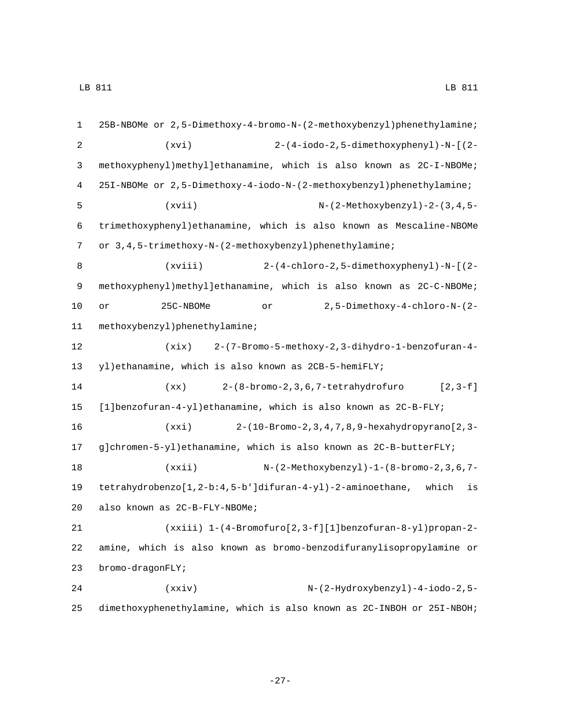| $\mathbf{1}$ | 25B-NBOMe or 2,5-Dimethoxy-4-bromo-N-(2-methoxybenzyl)phenethylamine; |
|--------------|-----------------------------------------------------------------------|
| 2            | 2-(4-iodo-2,5-dimethoxyphenyl)-N-[(2-<br>(xvi)                        |
| 3            | methoxyphenyl)methyl]ethanamine, which is also known as 2C-I-NBOMe;   |
| 4            | 251-NBOMe or 2,5-Dimethoxy-4-iodo-N-(2-methoxybenzyl)phenethylamine;  |
| 5            | (xvii)<br>$N-(2-Methoxybenzyl)-2-(3,4,5-$                             |
| 6            | trimethoxyphenyl) ethanamine, which is also known as Mescaline-NBOMe  |
| 7            | or 3, 4, 5-trimethoxy-N-(2-methoxybenzyl) phenethylamine;             |
| 8            | 2-(4-chloro-2,5-dimethoxyphenyl)-N-[(2-<br>(xviii)                    |
| $\mathsf 9$  | methoxyphenyl)methyl]ethanamine, which is also known as 2C-C-NBOMe;   |
| 10           | 25C-NBOMe<br>2,5-Dimethoxy-4-chloro-N-(2-<br>or<br>or                 |
| 11           | methoxybenzyl)phenethylamine;                                         |
| 12           | 2-(7-Bromo-5-methoxy-2,3-dihydro-1-benzofuran-4-<br>(xix)             |
| 13           | yl) ethanamine, which is also known as 2CB-5-hemiFLY;                 |
| 14           | $2-(8-bromo-2, 3, 6, 7-tetrahydrofuro$<br>$[2, 3-f]$<br>(xx)          |
| 15           | $[1]$ benzofuran-4-yl)ethanamine, which is also known as $2C-B-FLY$ ; |
| 16           | (xxi)<br>2-(10-Bromo-2, 3, 4, 7, 8, 9-hexahydropyrano [2, 3-          |
| 17           | g]chromen-5-yl)ethanamine, which is also known as 2C-B-butterFLY;     |
| 18           | (xxi)<br>$N - (2 - Methoxybenzy1) - 1 - (8 - bromo - 2, 3, 6, 7 -$    |
| 19           | tetrahydrobenzo[1,2-b:4,5-b']difuran-4-yl)-2-aminoethane, which<br>is |
| 20           | also known as 2C-B-FLY-NBOMe;                                         |
| 21           | (xxiii) 1-(4-Bromofuro[2,3-f][1]benzofuran-8-yl)propan-2-             |
| 22           | amine, which is also known as bromo-benzodifuranylisopropylamine or   |
| 23           | bromo-dragonFLY;                                                      |
| 24           | $N-(2-Hydroxybenzyl)-4-iodo-2,5-$<br>(xxiv)                           |
| 25           | dimethoxyphenethylamine, which is also known as 2C-INBOH or 25I-NBOH; |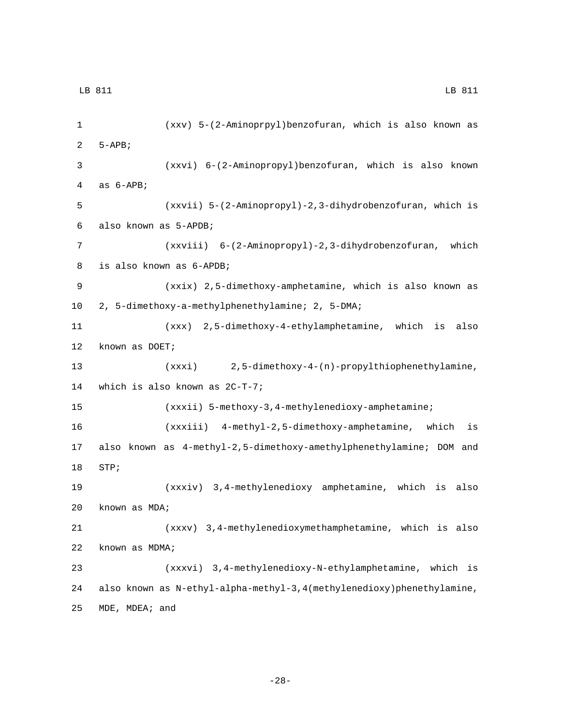1 (xxv) 5-(2-Aminoprpyl)benzofuran, which is also known as 2  $5-APB$ ; 3 (xxvi) 6-(2-Aminopropyl)benzofuran, which is also known 4 as  $6-APB$ ; 5 (xxvii) 5-(2-Aminopropyl)-2,3-dihydrobenzofuran, which is also known as 5-APDB;6 7 (xxviii) 6-(2-Aminopropyl)-2,3-dihydrobenzofuran, which 8 is also known as 6-APDB; 9 (xxix) 2,5-dimethoxy-amphetamine, which is also known as 2, 5-dimethoxy-a-methylphenethylamine; 2, 5-DMA;10 11 (xxx) 2,5-dimethoxy-4-ethylamphetamine, which is also 12 known as DOET; 13 (xxxi) 2,5-dimethoxy-4-(n)-propylthiophenethylamine, 14 which is also known as  $2C-T-7$ ; 15 (xxxii) 5-methoxy-3,4-methylenedioxy-amphetamine; 16 (xxxiii) 4-methyl-2,5-dimethoxy-amphetamine, which is 17 also known as 4-methyl-2,5-dimethoxy-amethylphenethylamine; DOM and 18 STP; 19 (xxxiv) 3,4-methylenedioxy amphetamine, which is also 20 known as MDA; 21 (xxxv) 3,4-methylenedioxymethamphetamine, which is also 22 known as MDMA; 23 (xxxvi) 3,4-methylenedioxy-N-ethylamphetamine, which is 24 also known as N-ethyl-alpha-methyl-3,4(methylenedioxy)phenethylamine, 25 MDE, MDEA; and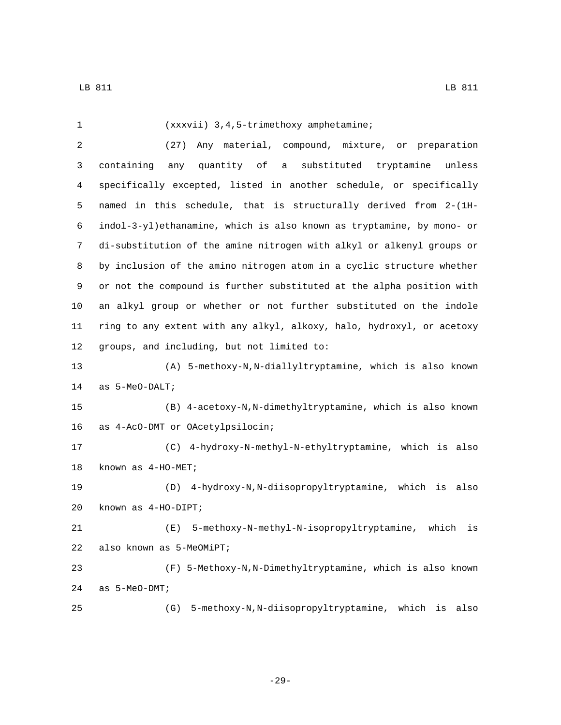| $\mathbf{1}$   | (xxxvii) 3, 4, 5-trimethoxy amphetamine;                               |
|----------------|------------------------------------------------------------------------|
| $\overline{a}$ | Any material, compound, mixture, or preparation<br>(27)                |
| 3              | quantity of<br>a substituted tryptamine<br>unless<br>containing<br>any |
| 4              | specifically excepted, listed in another schedule, or specifically     |
| 5              | named in this schedule, that is structurally derived from 2-(1H-       |
| 6              | indol-3-yl)ethanamine, which is also known as tryptamine, by mono- or  |
| 7              | di-substitution of the amine nitrogen with alkyl or alkenyl groups or  |
| 8              | by inclusion of the amino nitrogen atom in a cyclic structure whether  |
| 9              | or not the compound is further substituted at the alpha position with  |
| 10             | an alkyl group or whether or not further substituted on the indole     |
| 11             | ring to any extent with any alkyl, alkoxy, halo, hydroxyl, or acetoxy  |
| 12             | groups, and including, but not limited to:                             |
| 13             | (A) 5-methoxy-N, N-diallyltryptamine, which is also known              |
| 14             | as 5-MeO-DALT;                                                         |
| 15             | (B) 4-acetoxy-N, N-dimethyltryptamine, which is also known             |
| 16             | as 4-AcO-DMT or OAcetylpsilocin;                                       |
| 17             | (C) 4-hydroxy-N-methyl-N-ethyltryptamine, which is also                |
| 18             | known as 4-HO-MET;                                                     |
| 19             | (D) 4-hydroxy-N, N-diisopropyltryptamine, which is also                |
| 20             | known as $4-HO-DIPT$ ;                                                 |
| 21             | (E) 5-methoxy-N-methyl-N-isopropyltryptamine,<br>which<br>is           |
| 22             | also known as 5-MeOMiPT;                                               |
| 23             | (F) 5-Methoxy-N, N-Dimethyltryptamine, which is also known             |
| 24             | as 5-MeO-DMT;                                                          |
| 25             | 5-methoxy-N, N-diisopropyltryptamine, which is also<br>(G)             |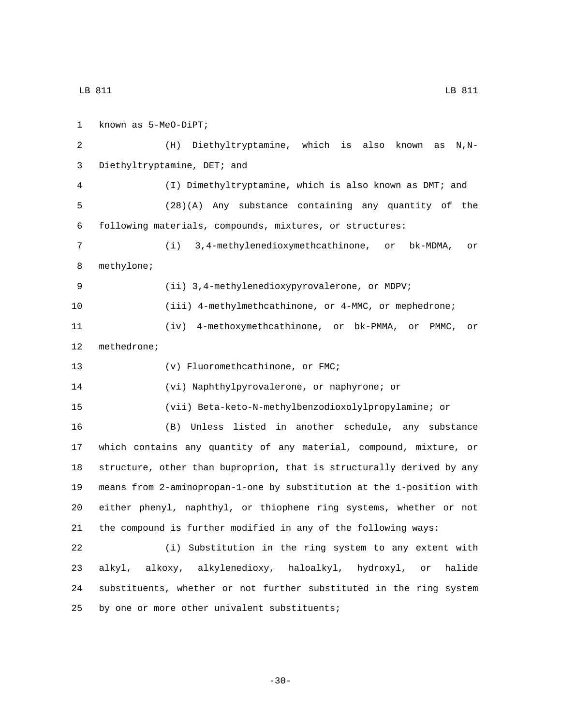1 known as 5-MeO-DiPT; (H) Diethyltryptamine, which is also known as N,N-3 Diethyltryptamine, DET; and (I) Dimethyltryptamine, which is also known as DMT; and (28)(A) Any substance containing any quantity of the following materials, compounds, mixtures, or structures: (i) 3,4-methylenedioxymethcathinone, or bk-MDMA, or 8 methylone; (ii) 3,4-methylenedioxypyrovalerone, or MDPV; (iii) 4-methylmethcathinone, or 4-MMC, or mephedrone; (iv) 4-methoxymethcathinone, or bk-PMMA, or PMMC, or 12 methedrone; 13 (v) Fluoromethcathinone, or FMC; (vi) Naphthylpyrovalerone, or naphyrone; or (vii) Beta-keto-N-methylbenzodioxolylpropylamine; or (B) Unless listed in another schedule, any substance which contains any quantity of any material, compound, mixture, or structure, other than buproprion, that is structurally derived by any means from 2-aminopropan-1-one by substitution at the 1-position with either phenyl, naphthyl, or thiophene ring systems, whether or not the compound is further modified in any of the following ways: (i) Substitution in the ring system to any extent with alkyl, alkoxy, alkylenedioxy, haloalkyl, hydroxyl, or halide substituents, whether or not further substituted in the ring system 25 by one or more other univalent substituents;

-30-

LB 811 LB 811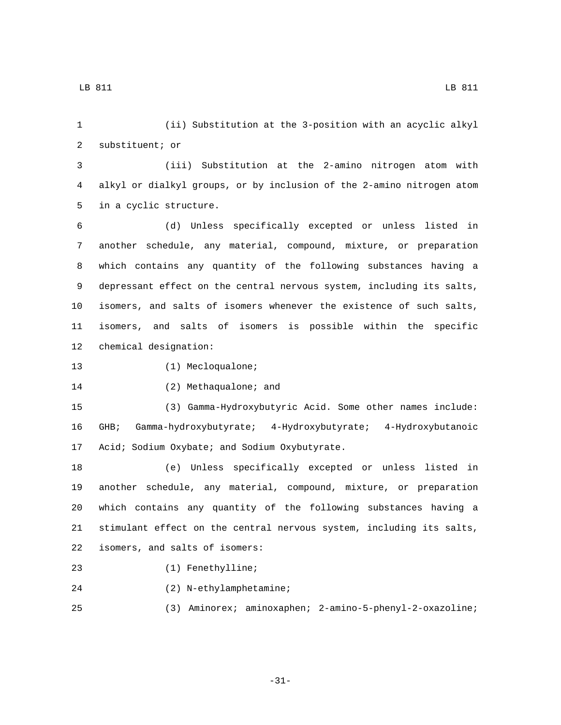1 (ii) Substitution at the 3-position with an acyclic alkyl 2 substituent; or

3 (iii) Substitution at the 2-amino nitrogen atom with 4 alkyl or dialkyl groups, or by inclusion of the 2-amino nitrogen atom 5 in a cyclic structure.

 (d) Unless specifically excepted or unless listed in another schedule, any material, compound, mixture, or preparation which contains any quantity of the following substances having a depressant effect on the central nervous system, including its salts, isomers, and salts of isomers whenever the existence of such salts, isomers, and salts of isomers is possible within the specific 12 chemical designation:

13 (1) Mecloqualone;

14 (2) Methaqualone; and

15 (3) Gamma-Hydroxybutyric Acid. Some other names include: 16 GHB; Gamma-hydroxybutyrate; 4-Hydroxybutyrate; 4-Hydroxybutanoic 17 Acid; Sodium Oxybate; and Sodium Oxybutyrate.

 (e) Unless specifically excepted or unless listed in another schedule, any material, compound, mixture, or preparation which contains any quantity of the following substances having a stimulant effect on the central nervous system, including its salts, 22 isomers, and salts of isomers:

23 (1) Fenethylline;

24 (2) N-ethylamphetamine;

25 (3) Aminorex; aminoxaphen; 2-amino-5-phenyl-2-oxazoline;

-31-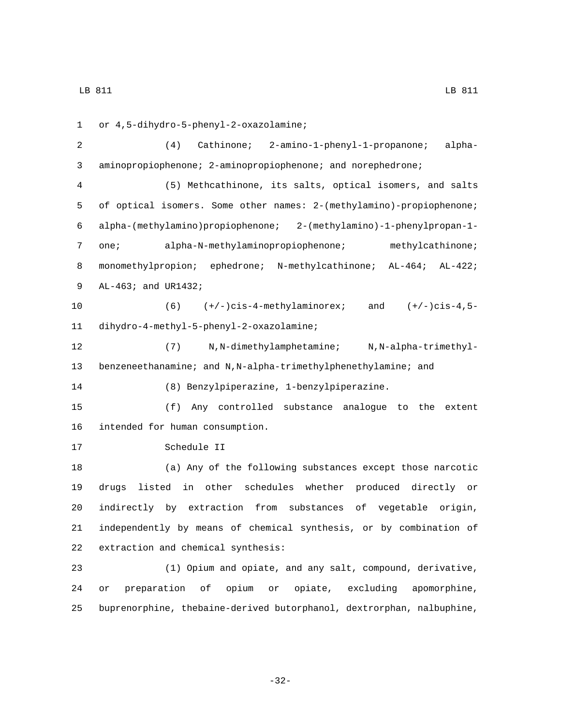or 4,5-dihydro-5-phenyl-2-oxazolamine;1 (4) Cathinone; 2-amino-1-phenyl-1-propanone; alpha- aminopropiophenone; 2-aminopropiophenone; and norephedrone; (5) Methcathinone, its salts, optical isomers, and salts of optical isomers. Some other names: 2-(methylamino)-propiophenone; alpha-(methylamino)propiophenone; 2-(methylamino)-1-phenylpropan-1- one; alpha-N-methylaminopropiophenone; methylcathinone; 8 monomethylpropion; ephedrone; N-methylcathinone; AL-464; AL-422; 9 AL-463; and UR1432; (6) (+/-)cis-4-methylaminorex; and (+/-)cis-4,5 dihydro-4-methyl-5-phenyl-2-oxazolamine;11 (7) N,N-dimethylamphetamine; N,N-alpha-trimethyl- benzeneethanamine; and N,N-alpha-trimethylphenethylamine; and (8) Benzylpiperazine, 1-benzylpiperazine. (f) Any controlled substance analogue to the extent 16 intended for human consumption. 17 Schedule II (a) Any of the following substances except those narcotic drugs listed in other schedules whether produced directly or indirectly by extraction from substances of vegetable origin, independently by means of chemical synthesis, or by combination of 22 extraction and chemical synthesis: (1) Opium and opiate, and any salt, compound, derivative, or preparation of opium or opiate, excluding apomorphine, buprenorphine, thebaine-derived butorphanol, dextrorphan, nalbuphine,

-32-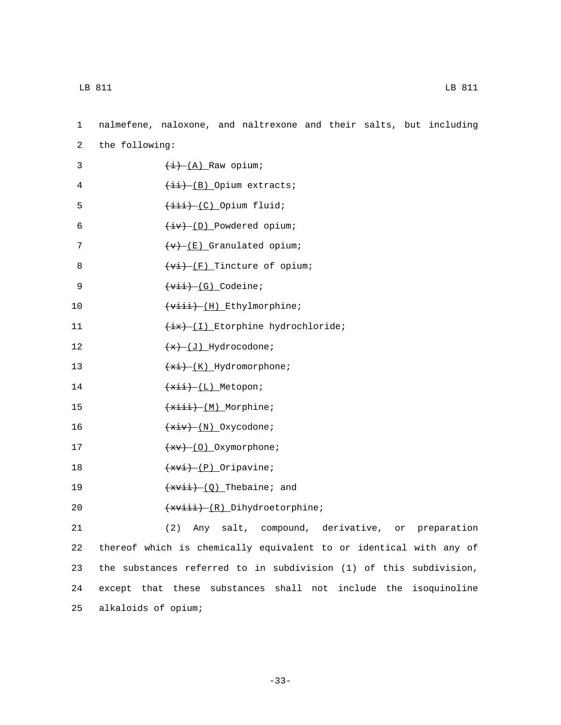| $\mathbf 1$ | nalmefene, naloxone, and naltrexone and their salts, but including |                                                         |  |  |                             |                |  |
|-------------|--------------------------------------------------------------------|---------------------------------------------------------|--|--|-----------------------------|----------------|--|
| 2           | the following:                                                     |                                                         |  |  |                             |                |  |
| 3           |                                                                    | $\overline{(+i) - (A)}$ Raw opium;                      |  |  |                             |                |  |
| 4           |                                                                    | $\overbrace{++}$ (B) Opium extracts;                    |  |  |                             |                |  |
| 5           |                                                                    | $\overline{(\texttt{iii}) - (\texttt{C})}$ Opium fluid; |  |  |                             |                |  |
| 6           |                                                                    | $\overline{(+iv) - (D)}$ Powdered opium;                |  |  |                             |                |  |
| 7           |                                                                    | $\overline{(+\mathbf{v})$ (E) Granulated opium;         |  |  |                             |                |  |
| 8           |                                                                    | $(v_i)$ (F) Tincture of opium;                          |  |  |                             |                |  |
| 9           |                                                                    | $+\overline{\text{vii} + (G)}$ Codeine;                 |  |  |                             |                |  |
| 10          |                                                                    | $\overbrace{v \text{iii}}$ (H) Ethylmorphine;           |  |  |                             |                |  |
| 11          |                                                                    | $\overline{f(x)}$ (I) Etorphine hydrochloride;          |  |  |                             |                |  |
| 12          |                                                                    | $+x$ - (J) Hydrocodone;                                 |  |  |                             |                |  |
| 13          |                                                                    | $\overbrace{xxi}$ (K) Hydromorphone;                    |  |  |                             |                |  |
| 14          |                                                                    | $\overbrace{+ \times i +}$ (L) Metopon;                 |  |  |                             |                |  |
| 15          |                                                                    | $+xiii)$ Morphine;                                      |  |  |                             |                |  |
| 16          |                                                                    | $+xiv)$ (N) Oxycodone;                                  |  |  |                             |                |  |
| 17          |                                                                    | $+xv$ – (0) Oxymorphone;                                |  |  |                             |                |  |
| 18          |                                                                    | $+xv_i(-p)$ Oripavine;                                  |  |  |                             |                |  |
| 19          |                                                                    | $+xvii$ (Q) Thebaine; and                               |  |  |                             |                |  |
| 20          |                                                                    | $+xviii)$ (R) Dihydroetorphine;                         |  |  |                             |                |  |
| 21          |                                                                    | (2)<br>Any                                              |  |  | salt, compound, derivative, | or preparation |  |
| 22          | thereof which is chemically equivalent to or identical with any of |                                                         |  |  |                             |                |  |
| 23          | the substances referred to in subdivision (1) of this subdivision, |                                                         |  |  |                             |                |  |
| 24          | except that these substances shall not include the isoquinoline    |                                                         |  |  |                             |                |  |
| 25          | alkaloids of opium;                                                |                                                         |  |  |                             |                |  |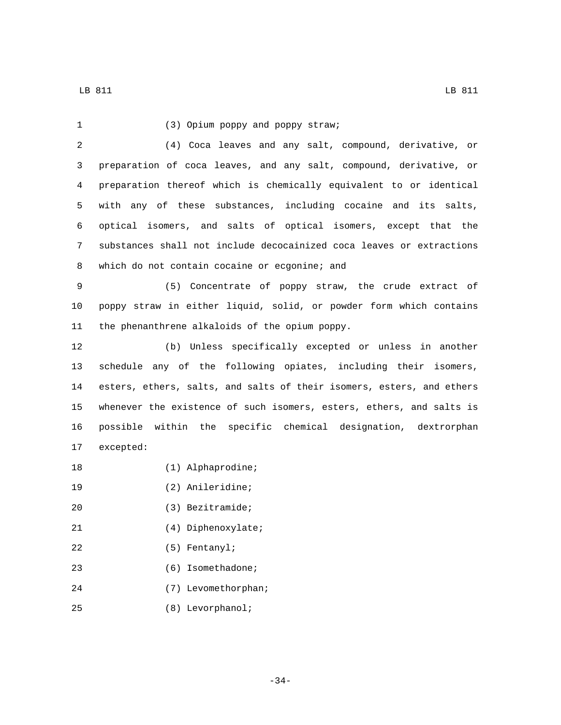| $\mathbf{1}$ | (3) Opium poppy and poppy straw;                                      |
|--------------|-----------------------------------------------------------------------|
| 2            | (4) Coca leaves and any salt, compound, derivative, or                |
| 3            | preparation of coca leaves, and any salt, compound, derivative, or    |
| 4            | preparation thereof which is chemically equivalent to or identical    |
| 5            | with any of these substances, including cocaine and its salts,        |
| 6            | optical isomers, and salts of optical isomers, except that the        |
| 7            | substances shall not include decocainized coca leaves or extractions  |
| 8            | which do not contain cocaine or ecgonine; and                         |
| 9            | (5) Concentrate of poppy straw, the crude extract of                  |
| 10           | poppy straw in either liquid, solid, or powder form which contains    |
| 11           | the phenanthrene alkaloids of the opium poppy.                        |
| 12           | (b) Unless specifically excepted or unless in another                 |
| 13           | schedule any of the following opiates, including their isomers,       |
| 14           | esters, ethers, salts, and salts of their isomers, esters, and ethers |
| 15           | whenever the existence of such isomers, esters, ethers, and salts is  |
| 16           | possible within the specific chemical designation, dextrorphan        |
| 17           | excepted:                                                             |
| 18           | (1) Alphaprodine;                                                     |
| 19           | (2) Anileridine;                                                      |
| 20           | $(3)$ Bezitramide;                                                    |
| 21           | $(4)$ Diphenoxylate;                                                  |
| 22           | $(5)$ Fentanyl;                                                       |
| 23           | (6) Isomethadone;                                                     |
| 24           | (7) Levomethorphan;                                                   |
| 25           | (8) Levorphanol;                                                      |

-34-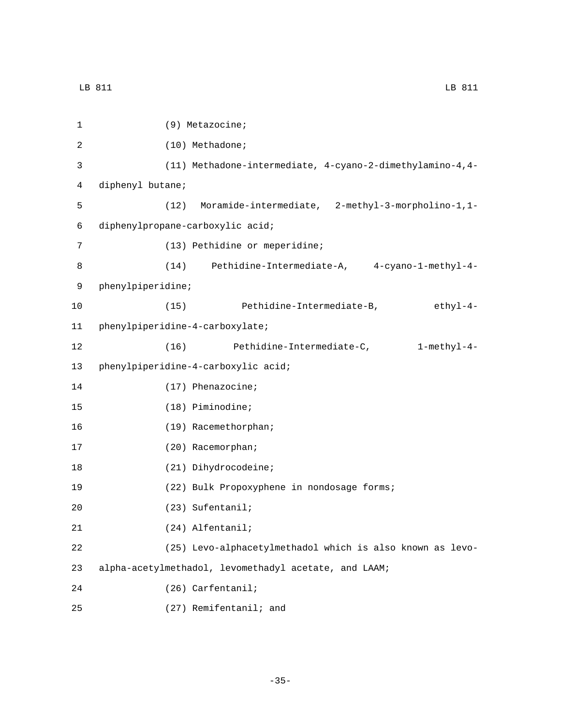| 1  | (9) Metazocine;                                            |
|----|------------------------------------------------------------|
| 2  | (10) Methadone;                                            |
| 3  | (11) Methadone-intermediate, 4-cyano-2-dimethylamino-4, 4- |
| 4  | diphenyl butane;                                           |
| 5  | Moramide-intermediate, 2-methyl-3-morpholino-1,1-<br>(12)  |
| 6  | diphenylpropane-carboxylic acid;                           |
| 7  | (13) Pethidine or meperidine;                              |
| 8  | $(14)$ Pethidine-Intermediate-A, $4$ -cyano-1-methyl-4-    |
| 9  | phenylpiperidine;                                          |
| 10 | (15) Pethidine-Intermediate-B, ethyl-4-                    |
| 11 | phenylpiperidine-4-carboxylate;                            |
| 12 | Pethidine-Intermediate-C, 1-methyl-4-<br>(16)              |
| 13 | phenylpiperidine-4-carboxylic acid;                        |
| 14 | $(17)$ Phenazocine;                                        |
| 15 | (18) Piminodine;                                           |
| 16 | (19) Racemethorphan;                                       |
| 17 | (20) Racemorphan;                                          |
| 18 | (21) Dihydrocodeine;                                       |
| 19 | (22) Bulk Propoxyphene in nondosage forms;                 |
| 20 | (23) Sufentanil;                                           |
| 21 | (24) Alfentanil;                                           |
| 22 | (25) Levo-alphacetylmethadol which is also known as levo-  |
| 23 | alpha-acetylmethadol, levomethadyl acetate, and LAAM;      |
| 24 | (26) Carfentanil;                                          |
| 25 | (27) Remifentanil; and                                     |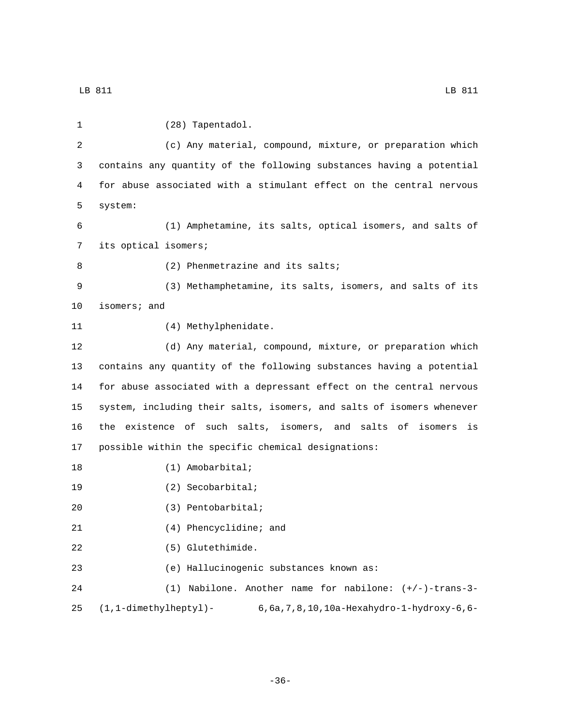(c) Any material, compound, mixture, or preparation which contains any quantity of the following substances having a potential for abuse associated with a stimulant effect on the central nervous (1) Amphetamine, its salts, optical isomers, and salts of 7 its optical isomers; 8 (2) Phenmetrazine and its salts; (3) Methamphetamine, its salts, isomers, and salts of its 10 isomers; and 11 (4) Methylphenidate. (d) Any material, compound, mixture, or preparation which contains any quantity of the following substances having a potential for abuse associated with a depressant effect on the central nervous system, including their salts, isomers, and salts of isomers whenever the existence of such salts, isomers, and salts of isomers is possible within the specific chemical designations:

18 (1) Amobarbital;

19 (2) Secobarbital;

(3) Pentobarbital;20

21 (4) Phencyclidine; and

22 (5) Glutethimide.

23 (e) Hallucinogenic substances known as:

24 (1) Nabilone. Another name for nabilone: (+/-)-trans-3- 25 (1,1-dimethylheptyl)- 6,6a,7,8,10,10a-Hexahydro-1-hydroxy-6,6-

-36-

1 (28) Tapentadol.

5 system: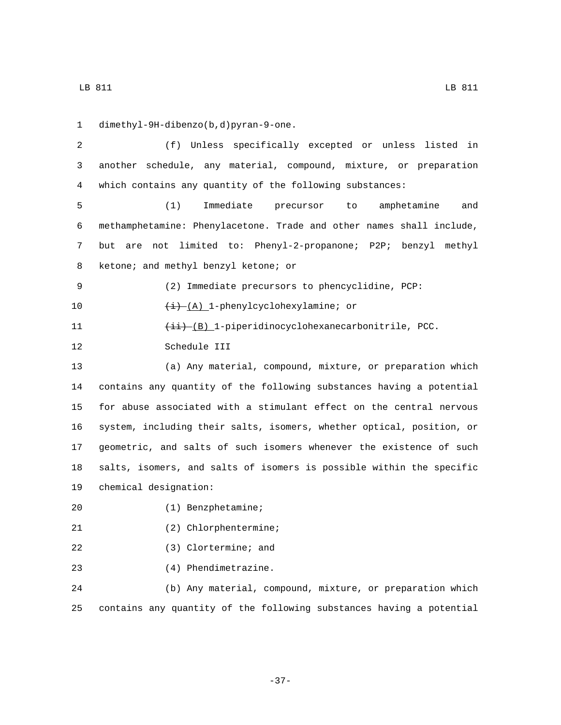dimethyl-9H-dibenzo(b,d)pyran-9-one.1 (f) Unless specifically excepted or unless listed in another schedule, any material, compound, mixture, or preparation which contains any quantity of the following substances: (1) Immediate precursor to amphetamine and methamphetamine: Phenylacetone. Trade and other names shall include, but are not limited to: Phenyl-2-propanone; P2P; benzyl methyl 8 ketone; and methyl benzyl ketone; or (2) Immediate precursors to phencyclidine, PCP:  $\frac{1}{i}$  (A) 1-phenylcyclohexylamine; or 11 (ii) (B) 1-piperidinocyclohexanecarbonitrile, PCC. 12 Schedule III (a) Any material, compound, mixture, or preparation which contains any quantity of the following substances having a potential for abuse associated with a stimulant effect on the central nervous system, including their salts, isomers, whether optical, position, or geometric, and salts of such isomers whenever the existence of such salts, isomers, and salts of isomers is possible within the specific 19 chemical designation: (1) Benzphetamine;20 21 (2) Chlorphentermine; (3) Clortermine; and 23 (4) Phendimetrazine. (b) Any material, compound, mixture, or preparation which

-37-

25 contains any quantity of the following substances having a potential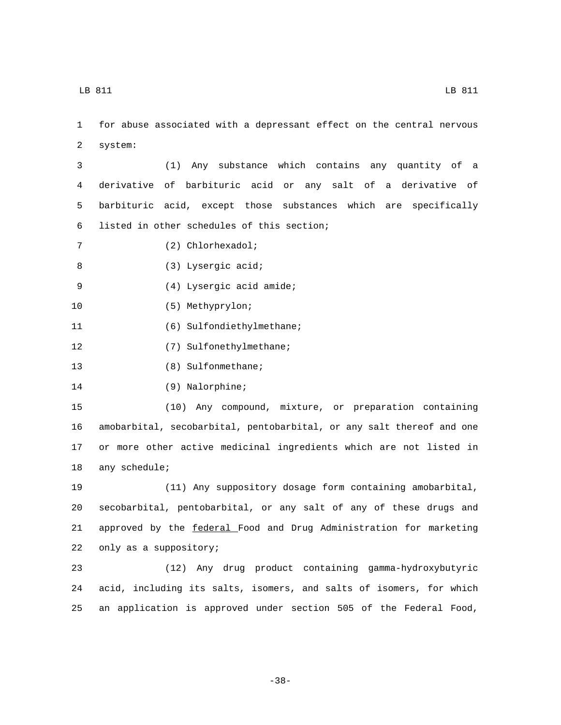1 for abuse associated with a depressant effect on the central nervous 2 system:

 (1) Any substance which contains any quantity of a derivative of barbituric acid or any salt of a derivative of barbituric acid, except those substances which are specifically 6 listed in other schedules of this section;

(2) Chlorhexadol;7

8 (3) Lysergic acid;

(4) Lysergic acid amide;9

10 (5) Methyprylon;

11 (6) Sulfondiethylmethane;

12 (7) Sulfonethylmethane;

13 (8) Sulfonmethane;

14 (9) Nalorphine;

 (10) Any compound, mixture, or preparation containing amobarbital, secobarbital, pentobarbital, or any salt thereof and one or more other active medicinal ingredients which are not listed in 18 any schedule;

 (11) Any suppository dosage form containing amobarbital, secobarbital, pentobarbital, or any salt of any of these drugs and approved by the federal Food and Drug Administration for marketing 22 only as a suppository;

23 (12) Any drug product containing gamma-hydroxybutyric 24 acid, including its salts, isomers, and salts of isomers, for which 25 an application is approved under section 505 of the Federal Food,

-38-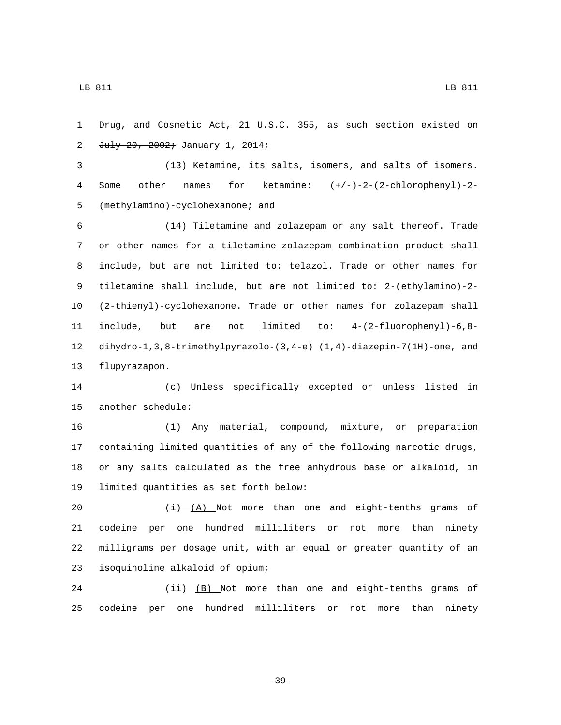Drug, and Cosmetic Act, 21 U.S.C. 355, as such section existed on 2 July 20, 2002; January 1, 2014;

 (13) Ketamine, its salts, isomers, and salts of isomers. Some other names for ketamine: (+/-)-2-(2-chlorophenyl)-2- 5 (methylamino)-cyclohexanone; and

 (14) Tiletamine and zolazepam or any salt thereof. Trade or other names for a tiletamine-zolazepam combination product shall include, but are not limited to: telazol. Trade or other names for tiletamine shall include, but are not limited to: 2-(ethylamino)-2- (2-thienyl)-cyclohexanone. Trade or other names for zolazepam shall include, but are not limited to: 4-(2-fluorophenyl)-6,8- dihydro-1,3,8-trimethylpyrazolo-(3,4-e) (1,4)-diazepin-7(1H)-one, and 13 flupyrazapon.

 (c) Unless specifically excepted or unless listed in 15 another schedule:

 (1) Any material, compound, mixture, or preparation containing limited quantities of any of the following narcotic drugs, or any salts calculated as the free anhydrous base or alkaloid, in 19 limited quantities as set forth below:

 $\frac{(i)}{(i)}$  (A) Not more than one and eight-tenths grams of codeine per one hundred milliliters or not more than ninety milligrams per dosage unit, with an equal or greater quantity of an 23 isoquinoline alkaloid of opium;

24  $\left(\frac{1}{1} \right)$  (B) Not more than one and eight-tenths grams of codeine per one hundred milliliters or not more than ninety

LB 811 LB 811

-39-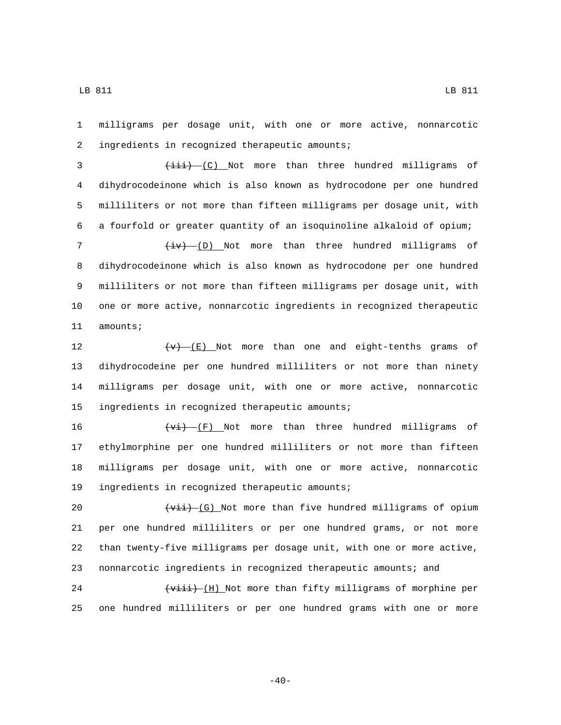1 milligrams per dosage unit, with one or more active, nonnarcotic ingredients in recognized therapeutic amounts;2

3 (iii) (C) Not more than three hundred milligrams of dihydrocodeinone which is also known as hydrocodone per one hundred milliliters or not more than fifteen milligrams per dosage unit, with a fourfold or greater quantity of an isoquinoline alkaloid of opium;  $\leftarrow$   $\leftarrow$   $\leftarrow$  (D) Not more than three hundred milligrams of dihydrocodeinone which is also known as hydrocodone per one hundred milliliters or not more than fifteen milligrams per dosage unit, with

10 one or more active, nonnarcotic ingredients in recognized therapeutic 11 amounts;

 $\left\{\frac{\mathbf{v}}{\mathbf{v}}\right\}$  (E) Not more than one and eight-tenths grams of dihydrocodeine per one hundred milliliters or not more than ninety milligrams per dosage unit, with one or more active, nonnarcotic 15 ingredients in recognized therapeutic amounts;

 $\overline{(v_i)}$  (F) Not more than three hundred milligrams of ethylmorphine per one hundred milliliters or not more than fifteen milligrams per dosage unit, with one or more active, nonnarcotic 19 ingredients in recognized therapeutic amounts;

 $\leftarrow$   $\leftarrow$   $\leftarrow$   $\left(\text{G}\right)$  Not more than five hundred milligrams of opium per one hundred milliliters or per one hundred grams, or not more than twenty-five milligrams per dosage unit, with one or more active, nonnarcotic ingredients in recognized therapeutic amounts; and

24  $\left\{\frac{1}{1}, \frac{1}{1}\right\}$  (H) Not more than fifty milligrams of morphine per 25 one hundred milliliters or per one hundred grams with one or more

 $-40-$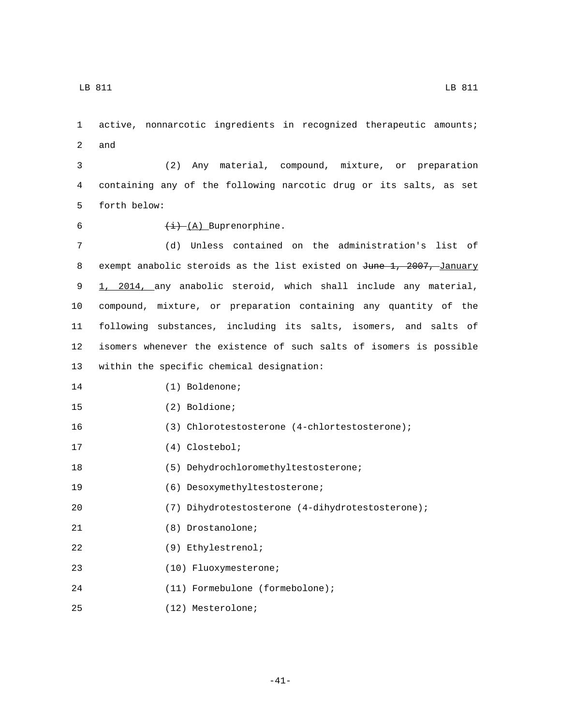1 active, nonnarcotic ingredients in recognized therapeutic amounts;

2 and

3 (2) Any material, compound, mixture, or preparation 4 containing any of the following narcotic drug or its salts, as set 5 forth below:

- 
- 6  $\overline{(i) (A)}$  Buprenorphine.

 (d) Unless contained on the administration's list of 8 exempt anabolic steroids as the list existed on June 1, 2007, January 1, 2014, any anabolic steroid, which shall include any material, compound, mixture, or preparation containing any quantity of the following substances, including its salts, isomers, and salts of isomers whenever the existence of such salts of isomers is possible 13 within the specific chemical designation:

15 (2) Boldione;

16 (3) Chlorotestosterone (4-chlortestosterone);

17 (4) Clostebol;

18 (5) Dehydrochloromethyltestosterone;

19 (6) Desoxymethyltestosterone;

20 (7) Dihydrotestosterone (4-dihydrotestosterone);

21 (8) Drostanolone;

(9) Ethylestrenol;22

(10) Fluoxymesterone;23

(11) Formebulone (formebolone);24

(12) Mesterolone;25

LB 811 LB 811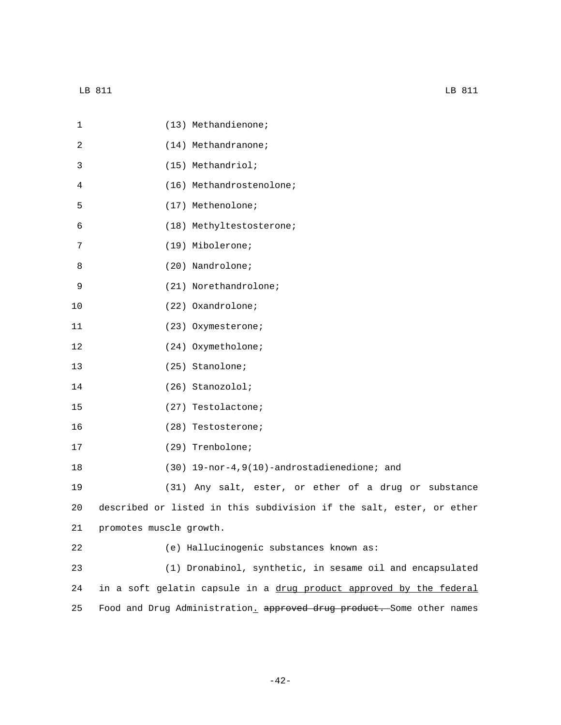| $\mathbf 1$ | (13) Methandienone;                                                   |
|-------------|-----------------------------------------------------------------------|
| 2           | (14) Methandranone;                                                   |
| 3           | (15) Methandriol;                                                     |
| 4           | (16) Methandrostenolone;                                              |
| 5           | (17) Methenolone;                                                     |
| 6           | (18) Methyltestosterone;                                              |
| 7           | (19) Mibolerone;                                                      |
| 8           | (20) Nandrolone;                                                      |
| 9           | (21) Norethandrolone;                                                 |
| 10          | (22) Oxandrolone;                                                     |
| 11          | (23) Oxymesterone;                                                    |
| 12          | (24) Oxymetholone;                                                    |
| 13          | (25) Stanolone;                                                       |
| 14          | (26) Stanozolol;                                                      |
| 15          | (27) Testolactone;                                                    |
| 16          | (28) Testosterone;                                                    |
| 17          | (29) Trenbolone;                                                      |
| 18          | (30) 19-nor-4, 9(10)-androstadienedione; and                          |
| 19          | (31) Any salt, ester, or ether of a drug or substance                 |
| 20          | described or listed in this subdivision if the salt, ester, or ether  |
| 21          | promotes muscle growth.                                               |
| 22          | (e) Hallucinogenic substances known as:                               |
| 23          | (1) Dronabinol, synthetic, in sesame oil and encapsulated             |
| 24          | in a soft gelatin capsule in a drug product approved by the federal   |
| 25          | Food and Drug Administration, approved drug product. Some other names |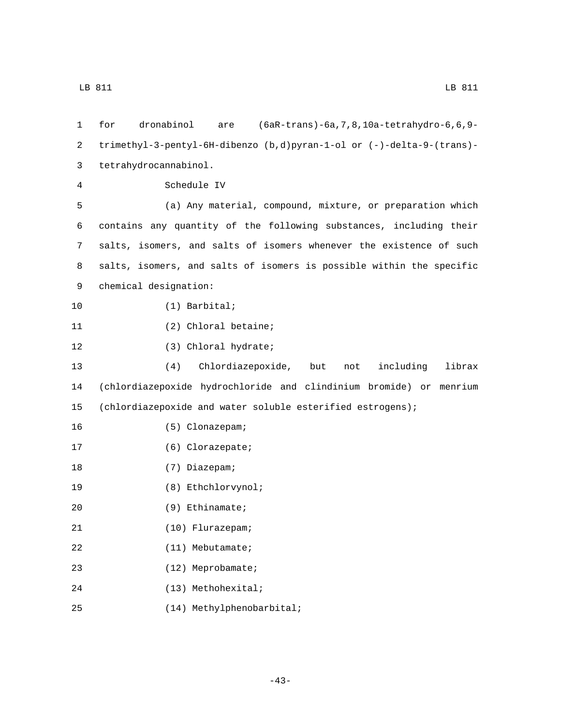| 1  | (6aR-trans)-6a, 7, 8, 10a-tetrahydro-6, 6, 9-<br>dronabinol<br>for<br>are |
|----|---------------------------------------------------------------------------|
| 2  | trimethyl-3-pentyl-6H-dibenzo (b,d)pyran-1-ol or (-)-delta-9-(trans)-     |
| 3  | tetrahydrocannabinol.                                                     |
| 4  | Schedule IV                                                               |
| 5  | (a) Any material, compound, mixture, or preparation which                 |
| 6  | contains any quantity of the following substances, including their        |
| 7  | salts, isomers, and salts of isomers whenever the existence of such       |
| 8  | salts, isomers, and salts of isomers is possible within the specific      |
| 9  | chemical designation:                                                     |
| 10 | $(1)$ Barbital;                                                           |
| 11 | (2) Chloral betaine;                                                      |
| 12 | (3) Chloral hydrate;                                                      |
| 13 | (4)<br>Chlordiazepoxide,<br>but<br>including<br>librax<br>not             |
| 14 | (chlordiazepoxide hydrochloride and clindinium bromide) or menrium        |
| 15 | (chlordiazepoxide and water soluble esterified estrogens);                |
| 16 | (5) Clonazepam;                                                           |
| 17 | (6) Clorazepate;                                                          |
| 18 | (7) Diazepam;                                                             |
| 19 | (8) Ethchlorvynol;                                                        |
| 20 | $(9)$ Ethinamate;                                                         |
| 21 | $(10)$ Flurazepam;                                                        |
| 22 | $(11)$ Mebutamate;                                                        |
| 23 | (12) Meprobamate;                                                         |
| 24 | (13) Methohexital;                                                        |
| 25 | (14) Methylphenobarbital;                                                 |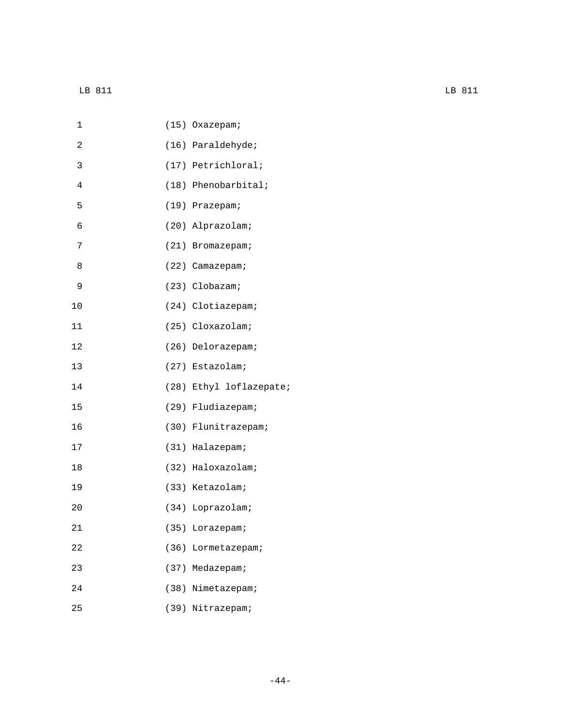| 1              |      | (15) Oxazepam; |                         |
|----------------|------|----------------|-------------------------|
| 2              |      |                | (16) Paraldehyde;       |
| 3              |      |                | (17) Petrichloral;      |
| $\overline{4}$ |      |                | $(18)$ Phenobarbital;   |
| 5              |      | (19) Prazepam; |                         |
| 6              |      |                | (20) Alprazolam;        |
| 7              |      |                | (21) Bromazepam;        |
| 8              |      |                | (22) Camazepam;         |
| 9              |      | (23) Clobazam; |                         |
| 10             |      |                | (24) Clotiazepam;       |
| 11             |      |                | (25) Cloxazolam;        |
| 12             |      |                | (26) Delorazepam;       |
| 13             |      |                | (27) Estazolam;         |
| 14             |      |                | (28) Ethyl loflazepate; |
| 15             |      |                | (29) Fludiazepam;       |
| 16             |      |                | (30) Flunitrazepam;     |
| 17             |      |                | (31) Halazepam;         |
| 18             |      |                | (32) Haloxazolam;       |
| 19             |      |                | (33) Ketazolam;         |
| 20             |      |                | (34) Loprazolam;        |
| 21             | (35) |                | Lorazepam;              |
| 22             |      |                | (36) Lormetazepam;      |
| 23             |      |                | (37) Medazepam;         |
| 24             |      |                | (38) Nimetazepam;       |
| 25             |      |                | (39) Nitrazepam;        |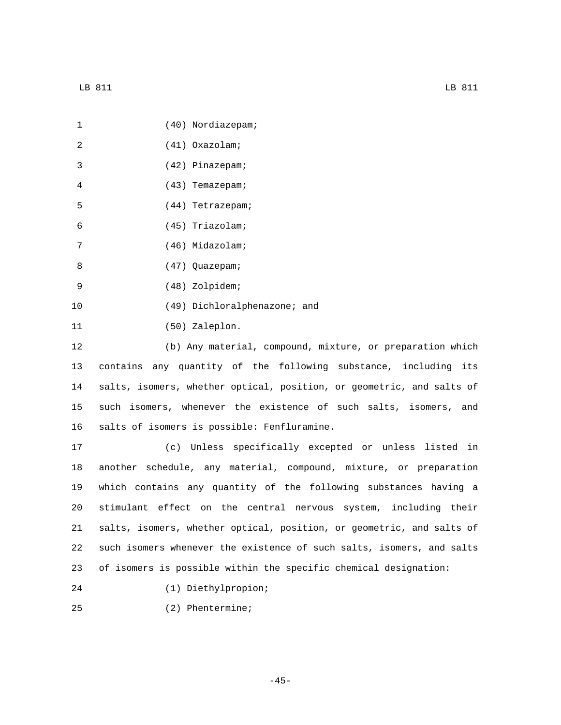| 1  | (40) Nordiazepam;                                                     |
|----|-----------------------------------------------------------------------|
| 2  | $(41)$ Oxazolam;                                                      |
| 3  | (42) Pinazepam;                                                       |
| 4  | (43) Temazepam;                                                       |
| 5  | (44) Tetrazepam;                                                      |
| 6  | (45) Triazolam;                                                       |
| 7  | (46) Midazolam;                                                       |
| 8  | (47) Quazepam;                                                        |
| 9  | (48) Zolpidem;                                                        |
| 10 | (49) Dichloralphenazone; and                                          |
| 11 | (50) Zaleplon.                                                        |
| 12 | (b) Any material, compound, mixture, or preparation which             |
| 13 | contains any quantity of the following substance, including its       |
| 14 | salts, isomers, whether optical, position, or geometric, and salts of |
| 15 | such isomers, whenever the existence of such salts, isomers, and      |
| 16 | salts of isomers is possible: Fenfluramine.                           |
| 17 | (c) Unless specifically excepted or unless listed in                  |
| 18 | another schedule, any material, compound, mixture, or preparation     |
| 19 | which contains any quantity of the following substances having a      |

 stimulant effect on the central nervous system, including their salts, isomers, whether optical, position, or geometric, and salts of such isomers whenever the existence of such salts, isomers, and salts of isomers is possible within the specific chemical designation:

- (1) Diethylpropion;24
- (2) Phentermine;25

-45-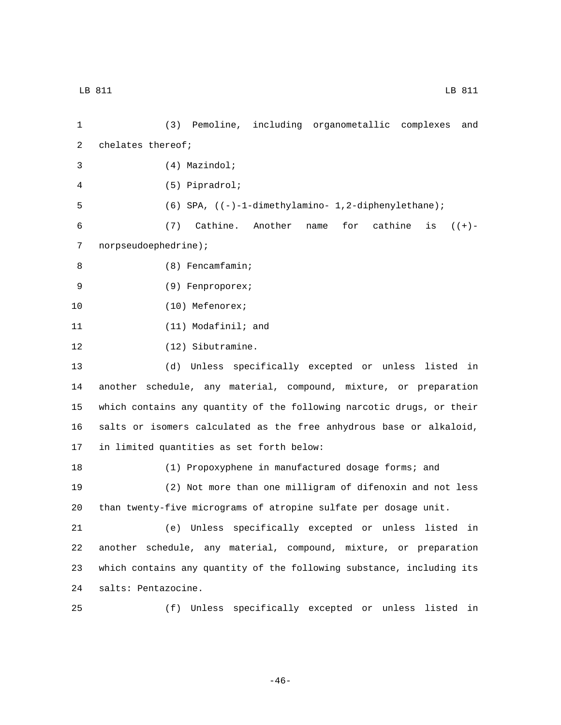1 (3) Pemoline, including organometallic complexes and 2 chelates thereof; (4) Mazindol;3 (5) Pipradrol;4 5 (6) SPA, ((-)-1-dimethylamino- 1,2-diphenylethane); 6 (7) Cathine. Another name for cathine is ((+)- 7 norpseudoephedrine); (8) Fencamfamin;8 (9) Fenproporex;9 10 (10) Mefenorex; 11 (11) Modafinil; and 12 (12) Sibutramine. 13 (d) Unless specifically excepted or unless listed in 14 another schedule, any material, compound, mixture, or preparation 15 which contains any quantity of the following narcotic drugs, or their 16 salts or isomers calculated as the free anhydrous base or alkaloid, 17 in limited quantities as set forth below: 18 (1) Propoxyphene in manufactured dosage forms; and 19 (2) Not more than one milligram of difenoxin and not less 20 than twenty-five micrograms of atropine sulfate per dosage unit. 21 (e) Unless specifically excepted or unless listed in 22 another schedule, any material, compound, mixture, or preparation 23 which contains any quantity of the following substance, including its 24 salts: Pentazocine. 25 (f) Unless specifically excepted or unless listed in

-46-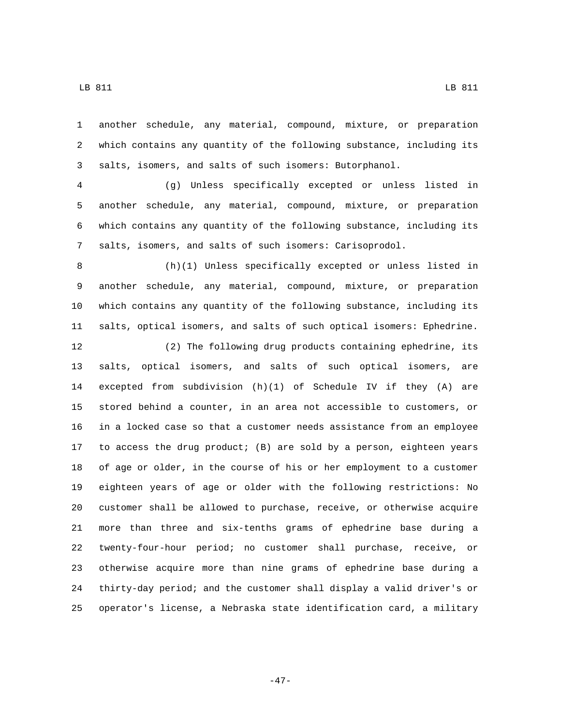another schedule, any material, compound, mixture, or preparation which contains any quantity of the following substance, including its salts, isomers, and salts of such isomers: Butorphanol.

 (g) Unless specifically excepted or unless listed in another schedule, any material, compound, mixture, or preparation which contains any quantity of the following substance, including its salts, isomers, and salts of such isomers: Carisoprodol.

 (h)(1) Unless specifically excepted or unless listed in another schedule, any material, compound, mixture, or preparation which contains any quantity of the following substance, including its salts, optical isomers, and salts of such optical isomers: Ephedrine.

 (2) The following drug products containing ephedrine, its salts, optical isomers, and salts of such optical isomers, are excepted from subdivision (h)(1) of Schedule IV if they (A) are stored behind a counter, in an area not accessible to customers, or in a locked case so that a customer needs assistance from an employee to access the drug product; (B) are sold by a person, eighteen years of age or older, in the course of his or her employment to a customer eighteen years of age or older with the following restrictions: No customer shall be allowed to purchase, receive, or otherwise acquire more than three and six-tenths grams of ephedrine base during a twenty-four-hour period; no customer shall purchase, receive, or otherwise acquire more than nine grams of ephedrine base during a thirty-day period; and the customer shall display a valid driver's or operator's license, a Nebraska state identification card, a military

-47-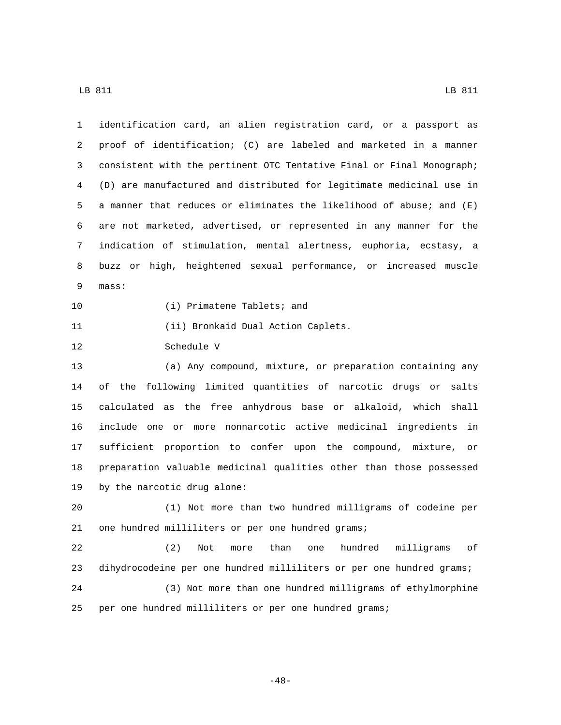| 1  | identification card, an alien registration card, or a passport as      |
|----|------------------------------------------------------------------------|
| 2  | proof of identification; (C) are labeled and marketed in a manner      |
| 3  | consistent with the pertinent OTC Tentative Final or Final Monograph;  |
| 4  | (D) are manufactured and distributed for legitimate medicinal use in   |
| 5  | a manner that reduces or eliminates the likelihood of abuse; and $(E)$ |
| 6  | are not marketed, advertised, or represented in any manner for the     |
| 7  | indication of stimulation, mental alertness, euphoria, ecstasy, a      |
| 8  | buzz or high, heightened sexual performance, or increased muscle       |
| 9  | mass:                                                                  |
| 10 | (i) Primatene Tablets; and                                             |
| 11 | (ii) Bronkaid Dual Action Caplets.                                     |
| 12 | Schedule V                                                             |
| 13 | (a) Any compound, mixture, or preparation containing any               |
| 14 | of the following limited quantities of narcotic drugs or salts         |
| 15 | calculated as the free anhydrous base or alkaloid, which shall         |
| 16 | include one or more nonnarcotic active medicinal ingredients in        |
| 17 | sufficient proportion to confer upon the compound, mixture, or         |
| 18 | preparation valuable medicinal qualities other than those possessed    |
| 19 | by the narcotic drug alone:                                            |
| 20 | (1) Not more than two hundred milligrams of codeine per                |
| 21 | one hundred milliliters or per one hundred grams;                      |
| 22 | (2)<br>than<br>hundred<br>milligrams<br>оf<br>Not<br>more<br>one       |
| 23 | dihydrocodeine per one hundred milliliters or per one hundred grams;   |
| 24 | (3) Not more than one hundred milligrams of ethylmorphine              |
| 25 | per one hundred milliliters or per one hundred grams;                  |

-48-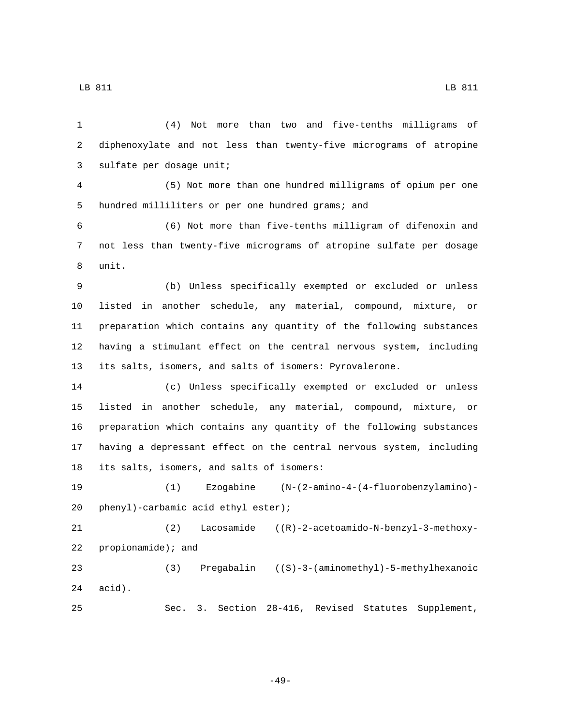(4) Not more than two and five-tenths milligrams of diphenoxylate and not less than twenty-five micrograms of atropine 3 sulfate per dosage unit; (5) Not more than one hundred milligrams of opium per one 5 hundred milliliters or per one hundred grams; and (6) Not more than five-tenths milligram of difenoxin and not less than twenty-five micrograms of atropine sulfate per dosage 8 unit. (b) Unless specifically exempted or excluded or unless listed in another schedule, any material, compound, mixture, or preparation which contains any quantity of the following substances having a stimulant effect on the central nervous system, including its salts, isomers, and salts of isomers: Pyrovalerone. (c) Unless specifically exempted or excluded or unless listed in another schedule, any material, compound, mixture, or preparation which contains any quantity of the following substances having a depressant effect on the central nervous system, including 18 its salts, isomers, and salts of isomers: (1) Ezogabine (N-(2-amino-4-(4-fluorobenzylamino)- 20 phenyl)-carbamic acid ethyl ester); (2) Lacosamide ((R)-2-acetoamido-N-benzyl-3-methoxy-22 propionamide); and (3) Pregabalin ((S)-3-(aminomethyl)-5-methylhexanoic  $24 \quad \text{acid}$ ). Sec. 3. Section 28-416, Revised Statutes Supplement,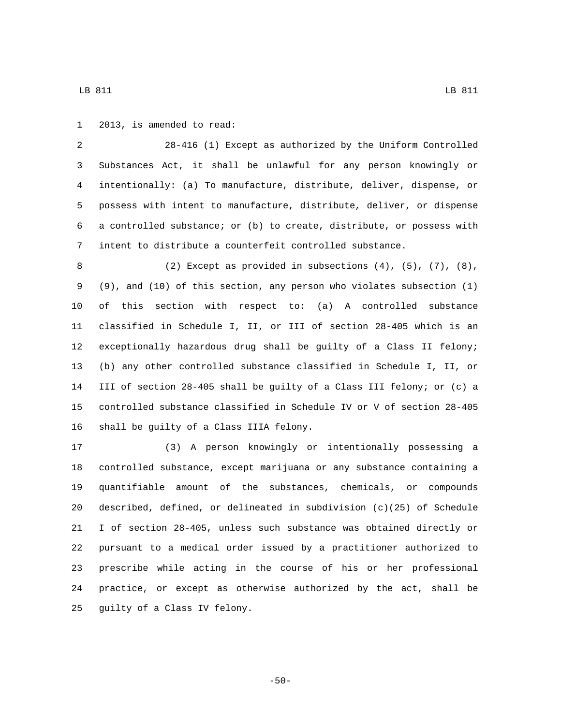1 2013, is amended to read:

 28-416 (1) Except as authorized by the Uniform Controlled Substances Act, it shall be unlawful for any person knowingly or intentionally: (a) To manufacture, distribute, deliver, dispense, or possess with intent to manufacture, distribute, deliver, or dispense a controlled substance; or (b) to create, distribute, or possess with intent to distribute a counterfeit controlled substance.

 (2) Except as provided in subsections (4), (5), (7), (8), (9), and (10) of this section, any person who violates subsection (1) of this section with respect to: (a) A controlled substance classified in Schedule I, II, or III of section 28-405 which is an exceptionally hazardous drug shall be guilty of a Class II felony; (b) any other controlled substance classified in Schedule I, II, or III of section 28-405 shall be guilty of a Class III felony; or (c) a controlled substance classified in Schedule IV or V of section 28-405 16 shall be guilty of a Class IIIA felony.

 (3) A person knowingly or intentionally possessing a controlled substance, except marijuana or any substance containing a quantifiable amount of the substances, chemicals, or compounds described, defined, or delineated in subdivision (c)(25) of Schedule I of section 28-405, unless such substance was obtained directly or pursuant to a medical order issued by a practitioner authorized to prescribe while acting in the course of his or her professional practice, or except as otherwise authorized by the act, shall be 25 guilty of a Class IV felony.

-50-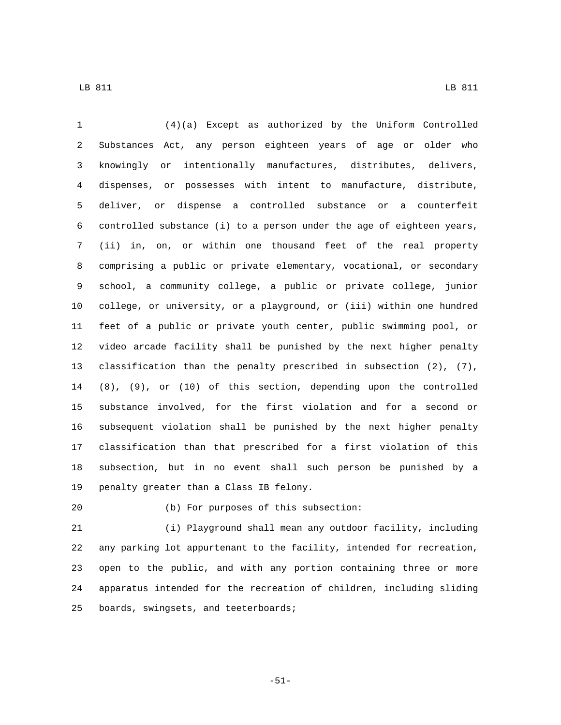(4)(a) Except as authorized by the Uniform Controlled Substances Act, any person eighteen years of age or older who knowingly or intentionally manufactures, distributes, delivers, dispenses, or possesses with intent to manufacture, distribute, deliver, or dispense a controlled substance or a counterfeit controlled substance (i) to a person under the age of eighteen years, (ii) in, on, or within one thousand feet of the real property comprising a public or private elementary, vocational, or secondary school, a community college, a public or private college, junior college, or university, or a playground, or (iii) within one hundred feet of a public or private youth center, public swimming pool, or video arcade facility shall be punished by the next higher penalty classification than the penalty prescribed in subsection (2), (7), (8), (9), or (10) of this section, depending upon the controlled substance involved, for the first violation and for a second or subsequent violation shall be punished by the next higher penalty classification than that prescribed for a first violation of this subsection, but in no event shall such person be punished by a 19 penalty greater than a Class IB felony.

(b) For purposes of this subsection:20

 (i) Playground shall mean any outdoor facility, including any parking lot appurtenant to the facility, intended for recreation, open to the public, and with any portion containing three or more apparatus intended for the recreation of children, including sliding 25 boards, swingsets, and teeterboards;

-51-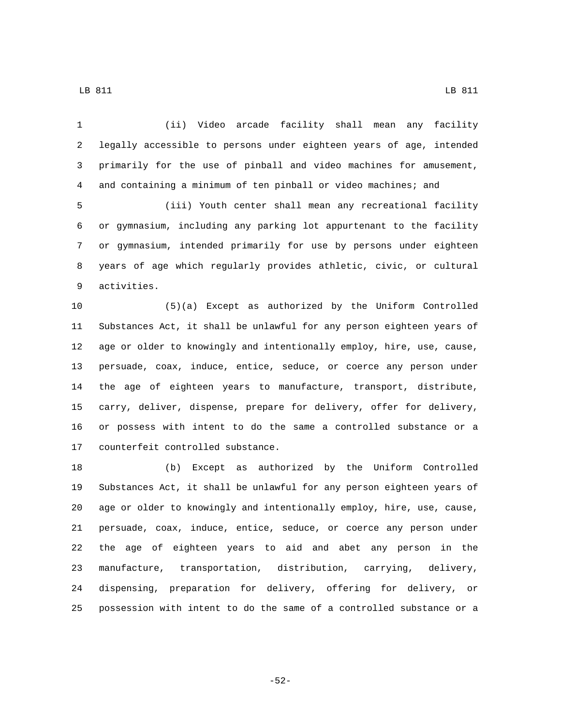(ii) Video arcade facility shall mean any facility legally accessible to persons under eighteen years of age, intended primarily for the use of pinball and video machines for amusement, and containing a minimum of ten pinball or video machines; and (iii) Youth center shall mean any recreational facility or gymnasium, including any parking lot appurtenant to the facility or gymnasium, intended primarily for use by persons under eighteen years of age which regularly provides athletic, civic, or cultural 9 activities. (5)(a) Except as authorized by the Uniform Controlled Substances Act, it shall be unlawful for any person eighteen years of age or older to knowingly and intentionally employ, hire, use, cause, persuade, coax, induce, entice, seduce, or coerce any person under the age of eighteen years to manufacture, transport, distribute, carry, deliver, dispense, prepare for delivery, offer for delivery, or possess with intent to do the same a controlled substance or a 17 counterfeit controlled substance. (b) Except as authorized by the Uniform Controlled

 Substances Act, it shall be unlawful for any person eighteen years of age or older to knowingly and intentionally employ, hire, use, cause, persuade, coax, induce, entice, seduce, or coerce any person under the age of eighteen years to aid and abet any person in the manufacture, transportation, distribution, carrying, delivery, dispensing, preparation for delivery, offering for delivery, or possession with intent to do the same of a controlled substance or a

LB 811 LB 811

-52-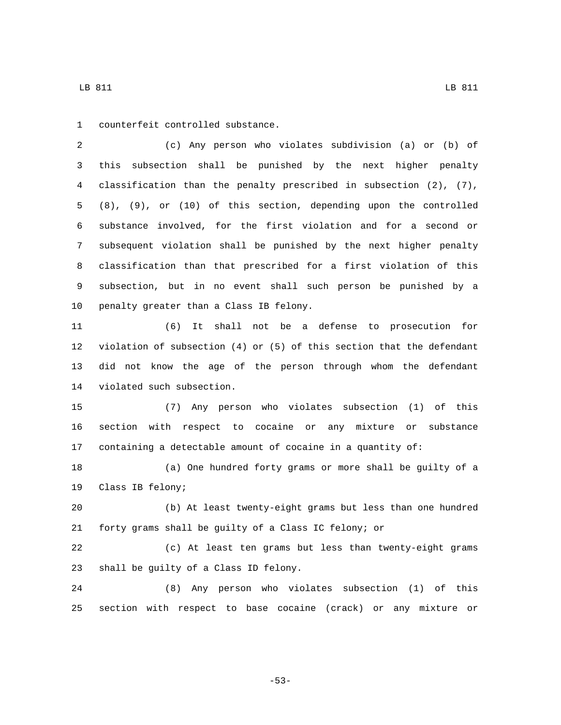1 counterfeit controlled substance.

 (c) Any person who violates subdivision (a) or (b) of this subsection shall be punished by the next higher penalty classification than the penalty prescribed in subsection (2), (7), (8), (9), or (10) of this section, depending upon the controlled substance involved, for the first violation and for a second or subsequent violation shall be punished by the next higher penalty classification than that prescribed for a first violation of this subsection, but in no event shall such person be punished by a 10 penalty greater than a Class IB felony.

 (6) It shall not be a defense to prosecution for violation of subsection (4) or (5) of this section that the defendant did not know the age of the person through whom the defendant 14 violated such subsection.

 (7) Any person who violates subsection (1) of this section with respect to cocaine or any mixture or substance containing a detectable amount of cocaine in a quantity of:

 (a) One hundred forty grams or more shall be guilty of a 19 Class IB felony;

 (b) At least twenty-eight grams but less than one hundred forty grams shall be guilty of a Class IC felony; or

 (c) At least ten grams but less than twenty-eight grams 23 shall be guilty of a Class ID felony.

 (8) Any person who violates subsection (1) of this section with respect to base cocaine (crack) or any mixture or

-53-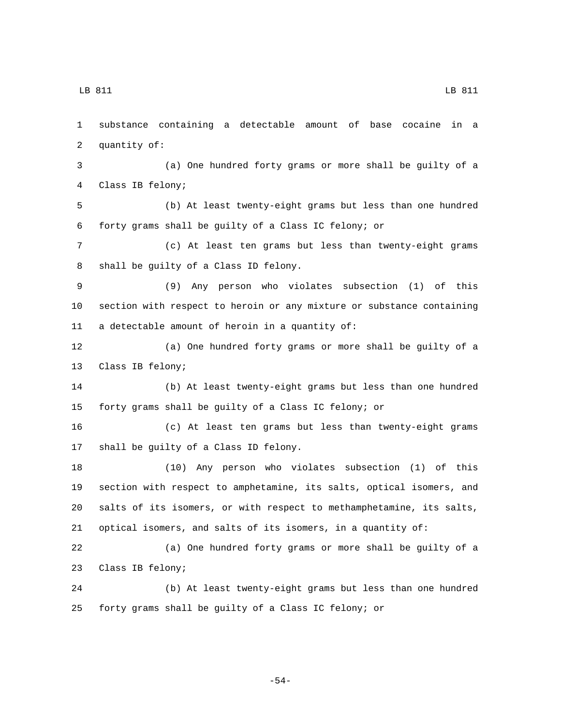LB 811 LB 811

 substance containing a detectable amount of base cocaine in a 2 quantity of: (a) One hundred forty grams or more shall be guilty of a 4 Class IB felony; (b) At least twenty-eight grams but less than one hundred forty grams shall be guilty of a Class IC felony; or (c) At least ten grams but less than twenty-eight grams 8 shall be guilty of a Class ID felony. (9) Any person who violates subsection (1) of this section with respect to heroin or any mixture or substance containing 11 a detectable amount of heroin in a quantity of: (a) One hundred forty grams or more shall be guilty of a 13 Class IB felony; (b) At least twenty-eight grams but less than one hundred forty grams shall be guilty of a Class IC felony; or (c) At least ten grams but less than twenty-eight grams 17 shall be guilty of a Class ID felony. (10) Any person who violates subsection (1) of this section with respect to amphetamine, its salts, optical isomers, and salts of its isomers, or with respect to methamphetamine, its salts, optical isomers, and salts of its isomers, in a quantity of: (a) One hundred forty grams or more shall be guilty of a 23 Class IB felony; (b) At least twenty-eight grams but less than one hundred forty grams shall be guilty of a Class IC felony; or

-54-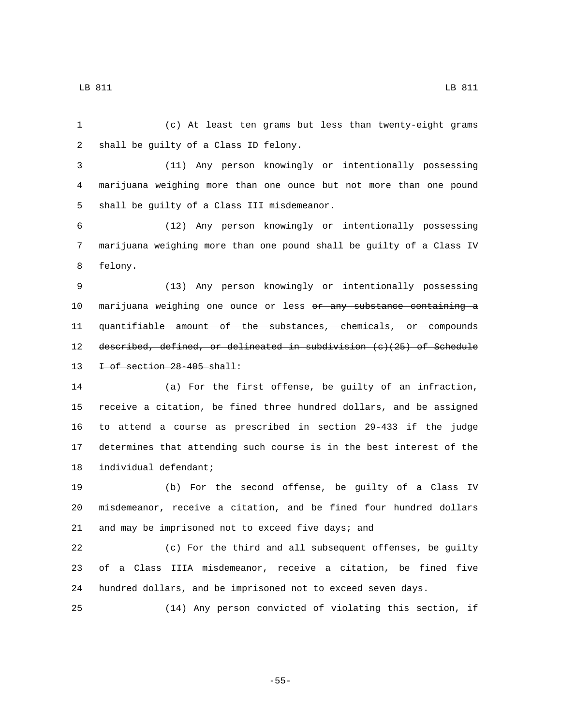(c) At least ten grams but less than twenty-eight grams

2 shall be guilty of a Class ID felony.

 (11) Any person knowingly or intentionally possessing marijuana weighing more than one ounce but not more than one pound 5 shall be guilty of a Class III misdemeanor.

 (12) Any person knowingly or intentionally possessing marijuana weighing more than one pound shall be guilty of a Class IV 8 felony.

 (13) Any person knowingly or intentionally possessing 10 marijuana weighing one ounce or less or any substance containing a quantifiable amount of the substances, chemicals, or compounds described, defined, or delineated in subdivision (c)(25) of Schedule  $\pm$  of section 28-405-shall:

 (a) For the first offense, be guilty of an infraction, receive a citation, be fined three hundred dollars, and be assigned to attend a course as prescribed in section 29-433 if the judge determines that attending such course is in the best interest of the 18 individual defendant;

 (b) For the second offense, be guilty of a Class IV misdemeanor, receive a citation, and be fined four hundred dollars and may be imprisoned not to exceed five days; and

 (c) For the third and all subsequent offenses, be guilty of a Class IIIA misdemeanor, receive a citation, be fined five hundred dollars, and be imprisoned not to exceed seven days.

(14) Any person convicted of violating this section, if

-55-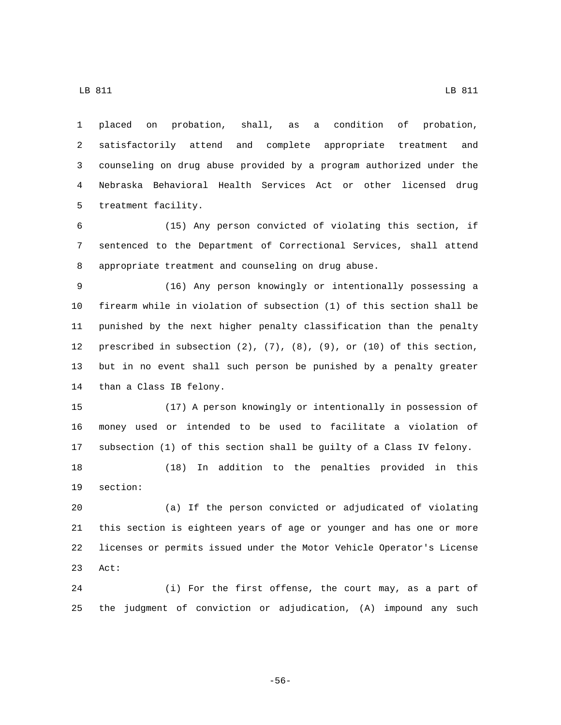placed on probation, shall, as a condition of probation, satisfactorily attend and complete appropriate treatment and counseling on drug abuse provided by a program authorized under the Nebraska Behavioral Health Services Act or other licensed drug 5 treatment facility.

 (15) Any person convicted of violating this section, if sentenced to the Department of Correctional Services, shall attend appropriate treatment and counseling on drug abuse.

 (16) Any person knowingly or intentionally possessing a firearm while in violation of subsection (1) of this section shall be punished by the next higher penalty classification than the penalty prescribed in subsection (2), (7), (8), (9), or (10) of this section, but in no event shall such person be punished by a penalty greater 14 than a Class IB felony.

 (17) A person knowingly or intentionally in possession of money used or intended to be used to facilitate a violation of subsection (1) of this section shall be guilty of a Class IV felony.

 (18) In addition to the penalties provided in this 19 section:

 (a) If the person convicted or adjudicated of violating this section is eighteen years of age or younger and has one or more licenses or permits issued under the Motor Vehicle Operator's License 23 Act:

 (i) For the first offense, the court may, as a part of the judgment of conviction or adjudication, (A) impound any such

-56-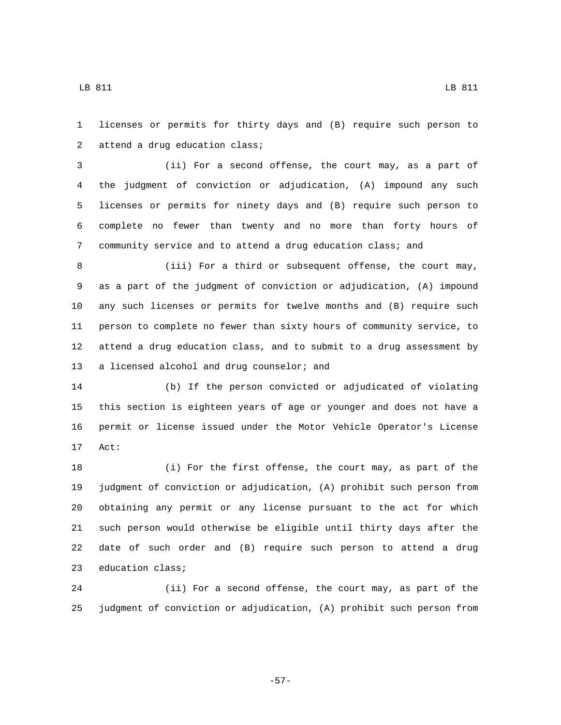licenses or permits for thirty days and (B) require such person to 2 attend a drug education class;

 (ii) For a second offense, the court may, as a part of the judgment of conviction or adjudication, (A) impound any such licenses or permits for ninety days and (B) require such person to complete no fewer than twenty and no more than forty hours of community service and to attend a drug education class; and

 (iii) For a third or subsequent offense, the court may, as a part of the judgment of conviction or adjudication, (A) impound any such licenses or permits for twelve months and (B) require such person to complete no fewer than sixty hours of community service, to attend a drug education class, and to submit to a drug assessment by 13 a licensed alcohol and drug counselor; and

 (b) If the person convicted or adjudicated of violating this section is eighteen years of age or younger and does not have a permit or license issued under the Motor Vehicle Operator's License 17 Act:

 (i) For the first offense, the court may, as part of the judgment of conviction or adjudication, (A) prohibit such person from obtaining any permit or any license pursuant to the act for which such person would otherwise be eligible until thirty days after the date of such order and (B) require such person to attend a drug 23 education class;

 (ii) For a second offense, the court may, as part of the judgment of conviction or adjudication, (A) prohibit such person from

-57-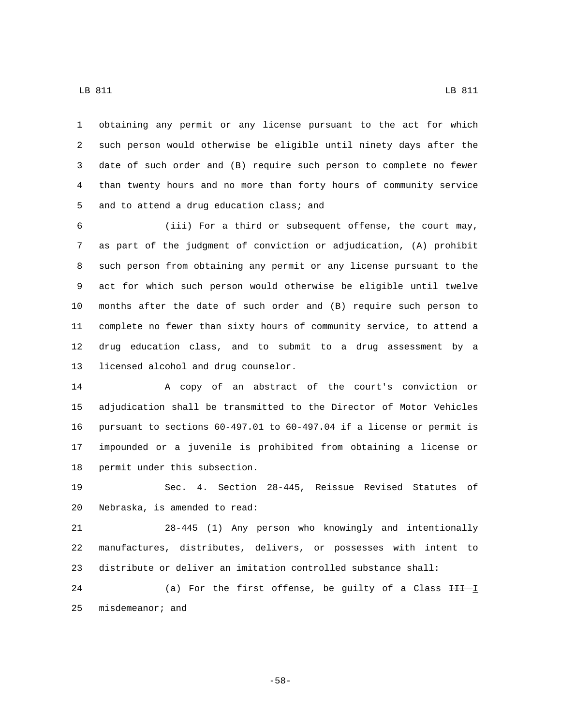obtaining any permit or any license pursuant to the act for which such person would otherwise be eligible until ninety days after the date of such order and (B) require such person to complete no fewer than twenty hours and no more than forty hours of community service 5 and to attend a drug education class; and

 (iii) For a third or subsequent offense, the court may, as part of the judgment of conviction or adjudication, (A) prohibit such person from obtaining any permit or any license pursuant to the act for which such person would otherwise be eligible until twelve months after the date of such order and (B) require such person to complete no fewer than sixty hours of community service, to attend a drug education class, and to submit to a drug assessment by a 13 licensed alcohol and drug counselor.

 A copy of an abstract of the court's conviction or adjudication shall be transmitted to the Director of Motor Vehicles pursuant to sections 60-497.01 to 60-497.04 if a license or permit is impounded or a juvenile is prohibited from obtaining a license or 18 permit under this subsection.

 Sec. 4. Section 28-445, Reissue Revised Statutes of 20 Nebraska, is amended to read:

 28-445 (1) Any person who knowingly and intentionally manufactures, distributes, delivers, or possesses with intent to distribute or deliver an imitation controlled substance shall:

24 (a) For the first offense, be guilty of a Class  $H + I$ 25 misdemeanor; and

-58-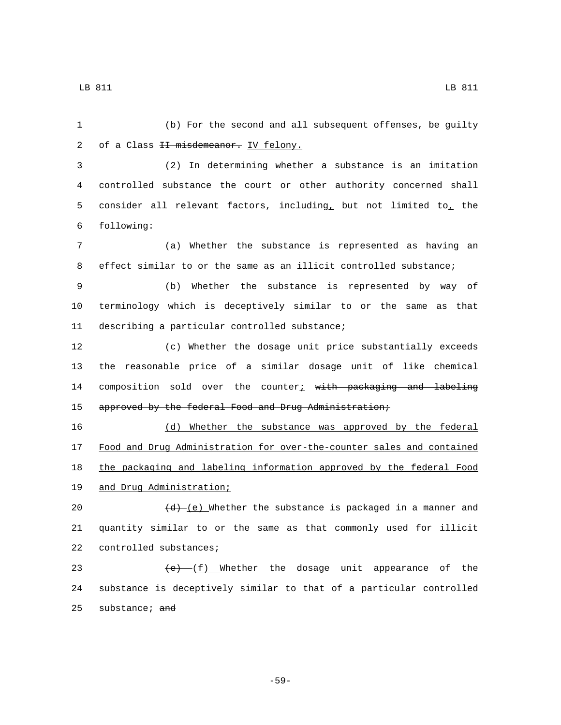(b) For the second and all subsequent offenses, be guilty 2 of a Class II misdemeanor. IV felony. (2) In determining whether a substance is an imitation controlled substance the court or other authority concerned shall 5 consider all relevant factors, including, but not limited to, the following:6 (a) Whether the substance is represented as having an effect similar to or the same as an illicit controlled substance; (b) Whether the substance is represented by way of terminology which is deceptively similar to or the same as that 11 describing a particular controlled substance; (c) Whether the dosage unit price substantially exceeds the reasonable price of a similar dosage unit of like chemical 14 composition sold over the counter $i$  with packaging and labeling approved by the federal Food and Drug Administration; (d) Whether the substance was approved by the federal Food and Drug Administration for over-the-counter sales and contained the packaging and labeling information approved by the federal Food 19 and Drug Administration;  $\frac{(d)-(e)}{dt}$  Whether the substance is packaged in a manner and quantity similar to or the same as that commonly used for illicit 22 controlled substances;  $(e)$   $(f)$  Whether the dosage unit appearance of the substance is deceptively similar to that of a particular controlled 25 substance;  $\frac{1}{25}$ 

-59-